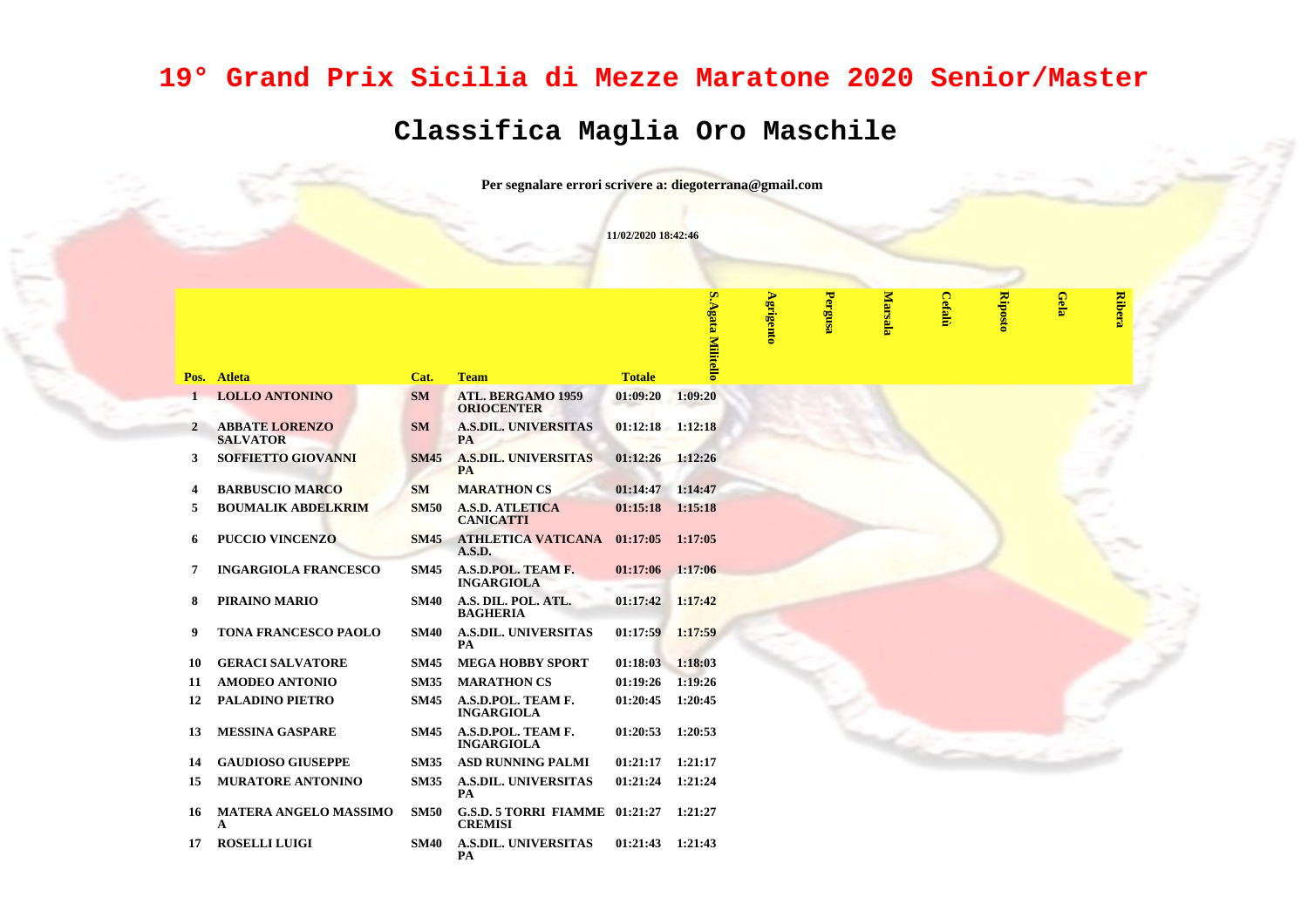## **19° Grand Prix Sicilia di Mezze Maratone 2020 Senior/Master**

## **Classifica Maglia Oro Maschile**

**Per segnalare errori scrivere a: diegoterrana@gmail.com**

**11/02/2020 18:42:46**

 $\mathbf{w}$ 

**Pergusa**

**Marsala**

**Cefalù**

**Riposto**

**Gela**

**Ribera**

|              |                                          |             |                                                |                    | <u>S.Agata Militello</u> | Agrigento |
|--------------|------------------------------------------|-------------|------------------------------------------------|--------------------|--------------------------|-----------|
| Pos.         | <b>Atleta</b>                            | Cat.        | <b>Team</b>                                    | <b>Totale</b>      |                          |           |
| $\mathbf{1}$ | <b>LOLLO ANTONINO</b>                    | <b>SM</b>   | <b>ATL. BERGAMO 1959</b><br><b>ORIOCENTER</b>  | 01:09:20           | 1:09:20                  |           |
| 2            | <b>ABBATE LORENZO</b><br><b>SALVATOR</b> | <b>SM</b>   | <b>A.S.DIL. UNIVERSITAS</b><br><b>PA</b>       | $01:12:18$ 1:12:18 |                          |           |
| 3            | <b>SOFFIETTO GIOVANNI</b>                | <b>SM45</b> | <b>A.S.DIL. UNIVERSITAS</b><br><b>PA</b>       | 01:12:26           | 1:12:26                  |           |
| 4            | <b>BARBUSCIO MARCO</b>                   | <b>SM</b>   | <b>MARATHON CS</b>                             | 01:14:47           | 1:14:47                  |           |
| 5            | <b>BOUMALIK ABDELKRIM</b>                | <b>SM50</b> | <b>A.S.D. ATLETICA</b><br><b>CANICATTI</b>     | 01:15:18           | 1:15:18                  |           |
| 6            | <b>PUCCIO VINCENZO</b>                   | <b>SM45</b> | <b>ATHLETICA VATICANA</b><br>A.S.D.            | 01:17:05           | 1:17:05                  |           |
| 7            | <b>INGARGIOLA FRANCESCO</b>              | <b>SM45</b> | A.S.D.POL. TEAM F.<br><b>INGARGIOLA</b>        | 01:17:06           | 1:17:06                  |           |
| 8            | PIRAINO MARIO                            | <b>SM40</b> | A.S. DIL. POL. ATL.<br><b>BAGHERIA</b>         | 01:17:42           | 1:17:42                  |           |
| 9            | <b>TONA FRANCESCO PAOLO</b>              | <b>SM40</b> | <b>A.S.DIL. UNIVERSITAS</b><br>PA              | 01:17:59           | 1:17:59                  |           |
| 10           | <b>GERACI SALVATORE</b>                  | <b>SM45</b> | <b>MEGA HOBBY SPORT</b>                        | 01:18:03           | 1:18:03                  |           |
| 11           | <b>AMODEO ANTONIO</b>                    | <b>SM35</b> | <b>MARATHON CS</b>                             | 01:19:26           | 1:19:26                  |           |
| 12           | <b>PALADINO PIETRO</b>                   | <b>SM45</b> | A.S.D.POL. TEAM F.<br><b>INGARGIOLA</b>        | 01:20:45           | 1:20:45                  |           |
| 13           | <b>MESSINA GASPARE</b>                   | <b>SM45</b> | A.S.D.POL. TEAM F.<br><b>INGARGIOLA</b>        | 01:20:53           | 1:20:53                  |           |
| 14           | <b>GAUDIOSO GIUSEPPE</b>                 | <b>SM35</b> | <b>ASD RUNNING PALMI</b>                       | 01:21:17           | 1:21:17                  |           |
| 15           | <b>MURATORE ANTONINO</b>                 | <b>SM35</b> | <b>A.S.DIL. UNIVERSITAS</b><br>PA              | 01:21:24           | 1:21:24                  |           |
| 16           | <b>MATERA ANGELO MASSIMO</b><br>A        | <b>SM50</b> | <b>G.S.D. 5 TORRI FIAMME</b><br><b>CREMISI</b> | 01:21:27           | 1:21:27                  |           |
| 17           | <b>ROSELLI LUIGI</b>                     | <b>SM40</b> | <b>A.S.DIL. UNIVERSITAS</b><br>PA              | 01:21:43           | 1:21:43                  |           |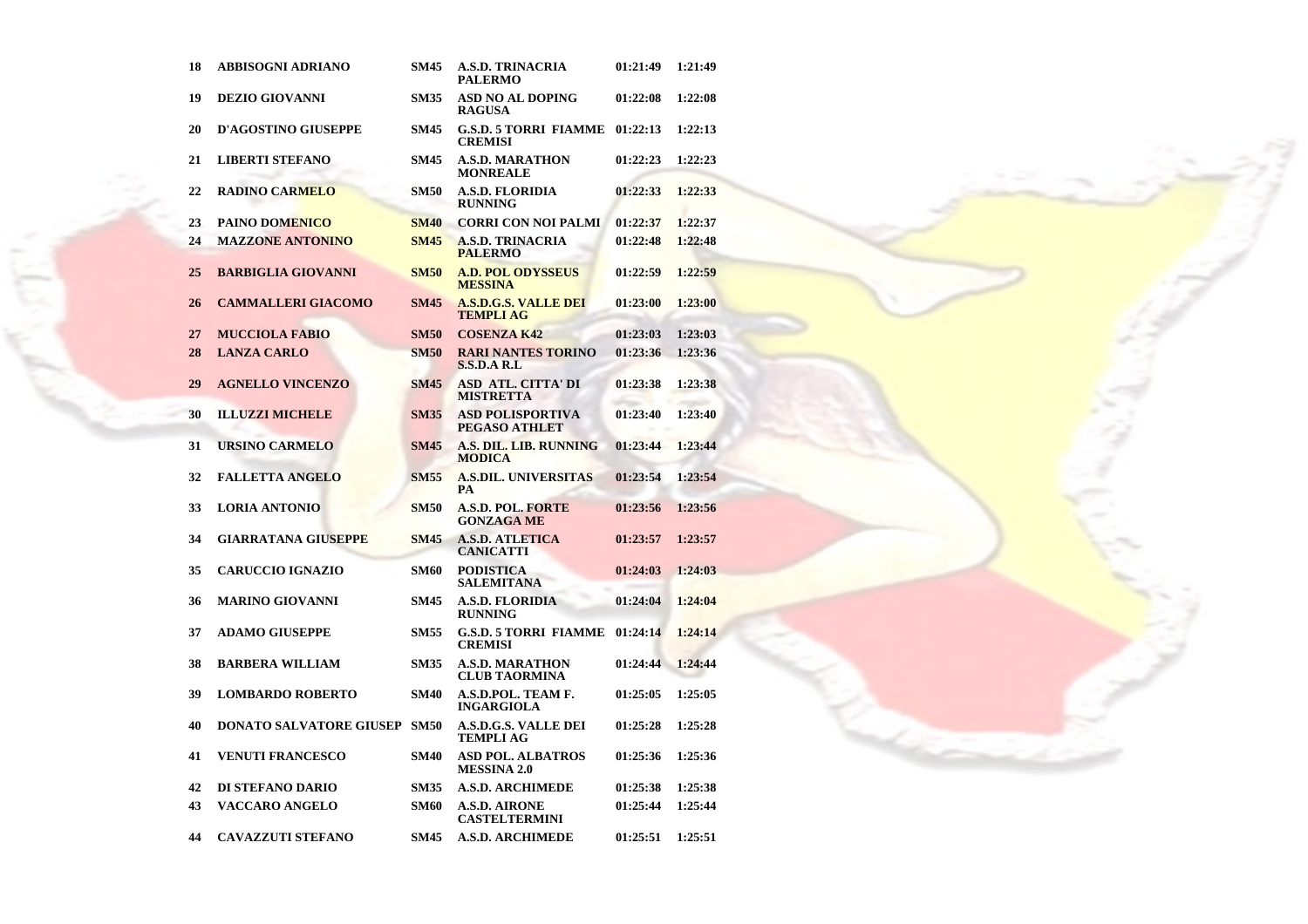| 18 | ABBISOGNI ADRIANO              | SM45        | <b>A.S.D. TRINACRIA</b><br><b>PALERMO</b>               | 01:21:49 | 1:21:49 |
|----|--------------------------------|-------------|---------------------------------------------------------|----------|---------|
| 19 | <b>DEZIO GIOVANNI</b>          | <b>SM35</b> | <b>ASD NO AL DOPING</b><br><b>RAGUSA</b>                | 01:22:08 | 1:22:08 |
| 20 | <b>D'AGOSTINO GIUSEPPE</b>     | <b>SM45</b> | <b>G.S.D. 5 TORRI FIAMME</b><br><b>CREMISI</b>          | 01:22:13 | 1:22:13 |
| 21 | <b>LIBERTI STEFANO</b>         | <b>SM45</b> | <b>A.S.D. MARATHON</b><br><b>MONREALE</b>               | 01:22:23 | 1:22:23 |
| 22 | <b>RADINO CARMELO</b>          | <b>SM50</b> | <b>A.S.D. FLORIDIA</b><br><b>RUNNING</b>                | 01:22:33 | 1:22:33 |
| 23 | <b>PAINO DOMENICO</b>          | <b>SM40</b> | <b>CORRI CON NOI PALMI</b>                              | 01:22:37 | 1:22:37 |
| 24 | <b>MAZZONE ANTONINO</b>        | <b>SM45</b> | <b>A.S.D. TRINACRIA</b><br><b>PALERMO</b>               | 01:22:48 | 1:22:48 |
| 25 | <b>BARBIGLIA GIOVANNI</b>      | <b>SM50</b> | <b>A.D. POL ODYSSEUS</b><br><b>MESSINA</b>              | 01:22:59 | 1:22:59 |
| 26 | <b>CAMMALLERI GIACOMO</b>      | <b>SM45</b> | <b>A.S.D.G.S. VALLE DEI</b><br><b>TEMPLI AG</b>         | 01:23:00 | 1:23:00 |
| 27 | <b>MUCCIOLA FABIO</b>          | <b>SM50</b> | <b>COSENZA K42</b>                                      | 01:23:03 | 1:23:03 |
| 28 | <b>LANZA CARLO</b>             | <b>SM50</b> | <b>RARI NANTES TORINO</b><br><b>S.S.D.A R.L</b>         | 01:23:36 | 1:23:36 |
| 29 | <b>AGNELLO VINCENZO</b>        | <b>SM45</b> | <b>ASD ATL. CITTA' DI</b><br><b>MISTRETTA</b>           | 01:23:38 | 1:23:38 |
| 30 | <b>ILLUZZI MICHELE</b>         | <b>SM35</b> | <b>ASD POLISPORTIVA</b><br>PEGASO ATHLET                | 01:23:40 | 1:23:40 |
| 31 | <b>URSINO CARMELO</b>          | <b>SM45</b> | A.S. DIL. LIB. RUNNING<br>MODICA                        | 01:23:44 | 1:23:44 |
| 32 | <b>FALLETTA ANGELO</b>         | <b>SM55</b> | <b>A.S.DIL. UNIVERSITAS</b><br>PA                       | 01:23:54 | 1:23:54 |
| 33 | <b>LORIA ANTONIO</b>           | <b>SM50</b> | <b>A.S.D. POL. FORTE</b><br><b>GONZAGA ME</b>           | 01:23:56 | 1:23:56 |
| 34 | <b>GIARRATANA GIUSEPPE</b>     | <b>SM45</b> | <b>A.S.D. ATLETICA</b><br><b>CANICATTI</b>              | 01:23:57 | 1:23:57 |
| 35 | CARUCCIO IGNAZIO               | SM60        | <b>PODISTICA</b><br><b>SALEMITANA</b>                   | 01:24:03 | 1:24:03 |
| 36 | <b>MARINO GIOVANNI</b>         | <b>SM45</b> | <b>A.S.D. FLORIDIA</b><br><b>RUNNING</b>                | 01:24:04 | 1:24:04 |
| 37 | ADAMO GIUSEPPE                 | <b>SM55</b> | <b>G.S.D. 5 TORRI FIAMME 01:24:14</b><br><b>CREMISI</b> |          | 1:24:14 |
| 38 | <b>BARBERA WILLIAM</b>         | <b>SM35</b> | <b>A.S.D. MARATHON</b><br><b>CLUB TAORMINA</b>          | 01:24:44 | 1:24:44 |
| 39 | <b>LOMBARDO ROBERTO</b>        | <b>SM40</b> | A.S.D.POL. TEAM F.<br><b>INGARGIOLA</b>                 | 01:25:05 | 1:25:05 |
| 40 | <b>DONATO SALVATORE GIUSEP</b> | <b>SM50</b> | <b>A.S.D.G.S. VALLE DEI</b><br><b>TEMPLI AG</b>         | 01:25:28 | 1:25:28 |
| 41 | <b>VENUTI FRANCESCO</b>        | <b>SM40</b> | <b>ASD POL. ALBATROS</b><br><b>MESSINA 2.0</b>          | 01:25:36 | 1:25:36 |
| 42 | <b>DI STEFANO DARIO</b>        | <b>SM35</b> | <b>A.S.D. ARCHIMEDE</b>                                 | 01:25:38 | 1:25:38 |
| 43 | VACCARO ANGELO                 | <b>SM60</b> | <b>A.S.D. AIRONE</b><br><b>CASTELTERMINI</b>            | 01:25:44 | 1:25:44 |
| 44 | <b>CAVAZZUTI STEFANO</b>       | <b>SM45</b> | <b>A.S.D. ARCHIMEDE</b>                                 | 01:25:51 | 1:25:51 |

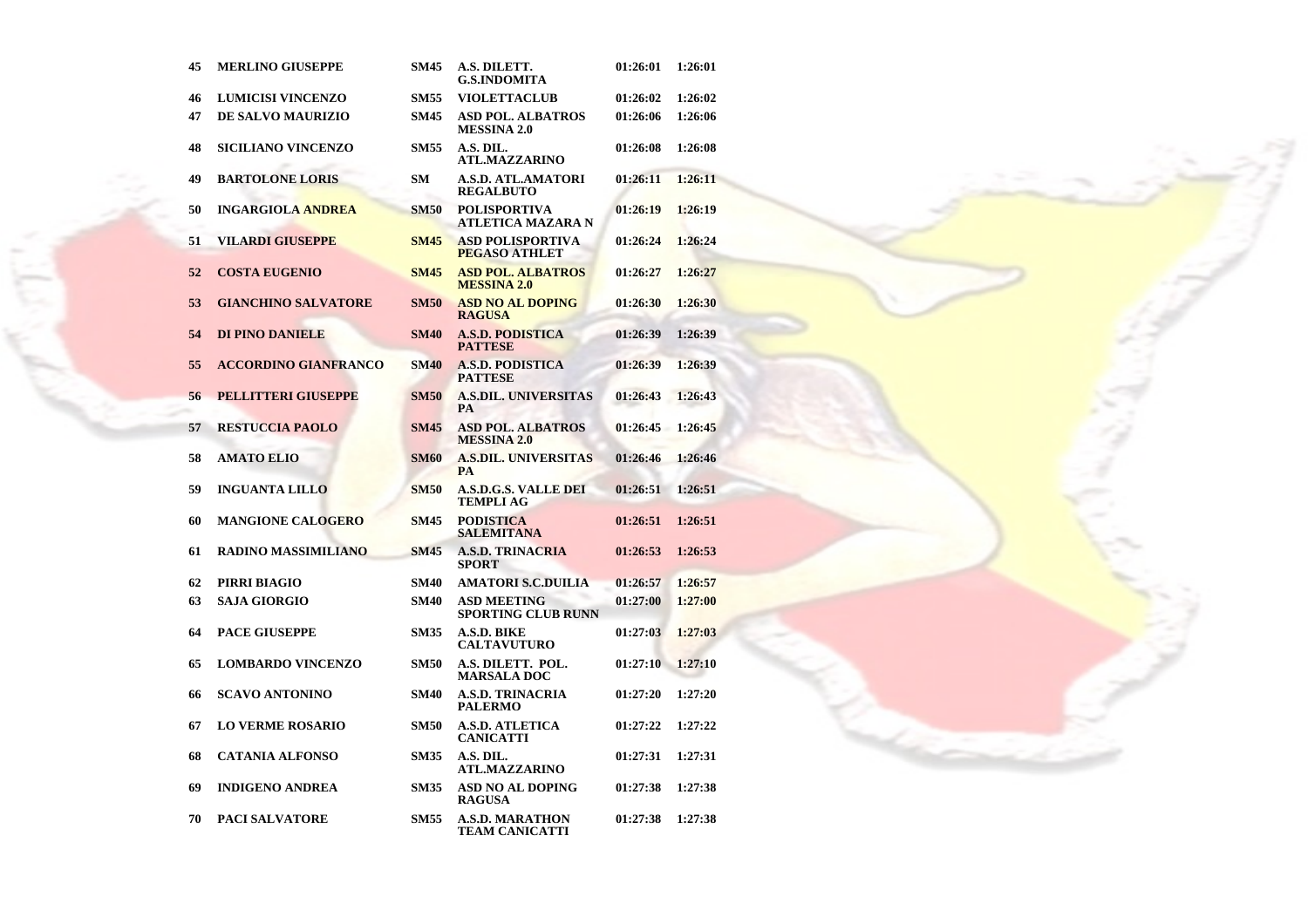| 45 | <b>MERLINO GIUSEPPE</b>     | <b>SM45</b> | A.S. DILETT.<br><b>G.S.INDOMITA</b>             | 01:26:01 | 1:26:01 |
|----|-----------------------------|-------------|-------------------------------------------------|----------|---------|
| 46 | <b>LUMICISI VINCENZO</b>    | <b>SM55</b> | <b>VIOLETTACLUB</b>                             | 01:26:02 | 1:26:02 |
| 47 | <b>DE SALVO MAURIZIO</b>    | <b>SM45</b> | <b>ASD POL. ALBATROS</b><br><b>MESSINA 2.0</b>  | 01:26:06 | 1:26:06 |
| 48 | <b>SICILIANO VINCENZO</b>   | <b>SM55</b> | A.S. DIL.<br><b>ATL.MAZZARINO</b>               | 01:26:08 | 1:26:08 |
| 49 | <b>BARTOLONE LORIS</b>      | SM          | A.S.D. ATL.AMATORI<br><b>REGALBUTO</b>          | 01:26:11 | 1:26:11 |
| 50 | <b>INGARGIOLA ANDREA</b>    | <b>SM50</b> | <b>POLISPORTIVA</b><br>ATLETICA MAZARA N        | 01:26:19 | 1:26:19 |
| 51 | VILARDI GIUSEPPE            | <b>SM45</b> | <b>ASD POLISPORTIVA</b><br><b>PEGASO ATHLET</b> | 01:26:24 | 1:26:24 |
| 52 | <b>COSTA EUGENIO</b>        | <b>SM45</b> | <b>ASD POL. ALBATROS</b><br><b>MESSINA 2.0</b>  | 01:26:27 | 1:26:27 |
| 53 | <b>GIANCHINO SALVATORE</b>  | <b>SM50</b> | <b>ASD NO AL DOPING</b><br><b>RAGUSA</b>        | 01:26:30 | 1:26:30 |
| 54 | <b>DI PINO DANIELE</b>      | <b>SM40</b> | <b>A.S.D. PODISTICA</b><br><b>PATTESE</b>       | 01:26:39 | 1:26:39 |
| 55 | <b>ACCORDINO GIANFRANCO</b> | <b>SM40</b> | <b>A.S.D. PODISTICA</b><br><b>PATTESE</b>       | 01:26:39 | 1:26:39 |
| 56 | <b>PELLITTERI GIUSEPPE</b>  | <b>SM50</b> | <b>A.S.DIL. UNIVERSITAS</b><br>PA               | 01:26:43 | 1:26:43 |
| 57 | <b>RESTUCCIA PAOLO</b>      | <b>SM45</b> | <b>ASD POL. ALBATROS</b><br><b>MESSINA 2.0</b>  | 01:26:45 | 1:26:45 |
| 58 | <b>AMATO ELIO</b>           | <b>SM60</b> | <b>A.S.DIL. UNIVERSITAS</b><br><b>PA</b>        | 01:26:46 | 1:26:46 |
| 59 | <b>INGUANTA LILLO</b>       | <b>SM50</b> | <b>A.S.D.G.S. VALLE DEI</b><br><b>TEMPLI AG</b> | 01:26:51 | 1:26:51 |
| 60 | <b>MANGIONE CALOGERO</b>    | <b>SM45</b> | <b>PODISTICA</b><br><b>SALEMITANA</b>           | 01:26:51 | 1:26:51 |
| 61 | <b>RADINO MASSIMILIANO</b>  | <b>SM45</b> | <b>A.S.D. TRINACRIA</b><br><b>SPORT</b>         | 01:26:53 | 1:26:53 |
| 62 | PIRRI BIAGIO                | <b>SM40</b> | <b>AMATORI S.C.DUILIA</b>                       | 01:26:57 | 1:26:57 |
| 63 | <b>SAJA GIORGIO</b>         | <b>SM40</b> | <b>ASD MEETING</b><br><b>SPORTING CLUB RUNN</b> | 01:27:00 | 1:27:00 |
| 64 | <b>PACE GIUSEPPE</b>        | <b>SM35</b> | A.S.D. BIKE<br><b>CALTAVUTURO</b>               | 01:27:03 | 1:27:03 |
| 65 | <b>LOMBARDO VINCENZO</b>    | <b>SM50</b> | A.S. DILETT. POL.<br><b>MARSALA DOC</b>         | 01:27:10 | 1:27:10 |
| 66 | <b>SCAVO ANTONINO</b>       | <b>SM40</b> | <b>A.S.D. TRINACRIA</b><br><b>PALERMO</b>       | 01:27:20 | 1:27:20 |
| 67 | <b>LO VERME ROSARIO</b>     | <b>SM50</b> | <b>A.S.D. ATLETICA</b><br><b>CANICATTI</b>      | 01:27:22 | 1:27:22 |
| 68 | <b>CATANIA ALFONSO</b>      | <b>SM35</b> | A.S. DIL.<br><b>ATL.MAZZARINO</b>               | 01:27:31 | 1:27:31 |
| 69 | <b>INDIGENO ANDREA</b>      | <b>SM35</b> | <b>ASD NO AL DOPING</b><br><b>RAGUSA</b>        | 01:27:38 | 1:27:38 |
| 70 | <b>PACI SALVATORE</b>       | <b>SM55</b> | A.S.D. MARATHON<br>TEAM CANICATTI               | 01:27:38 | 1:27:38 |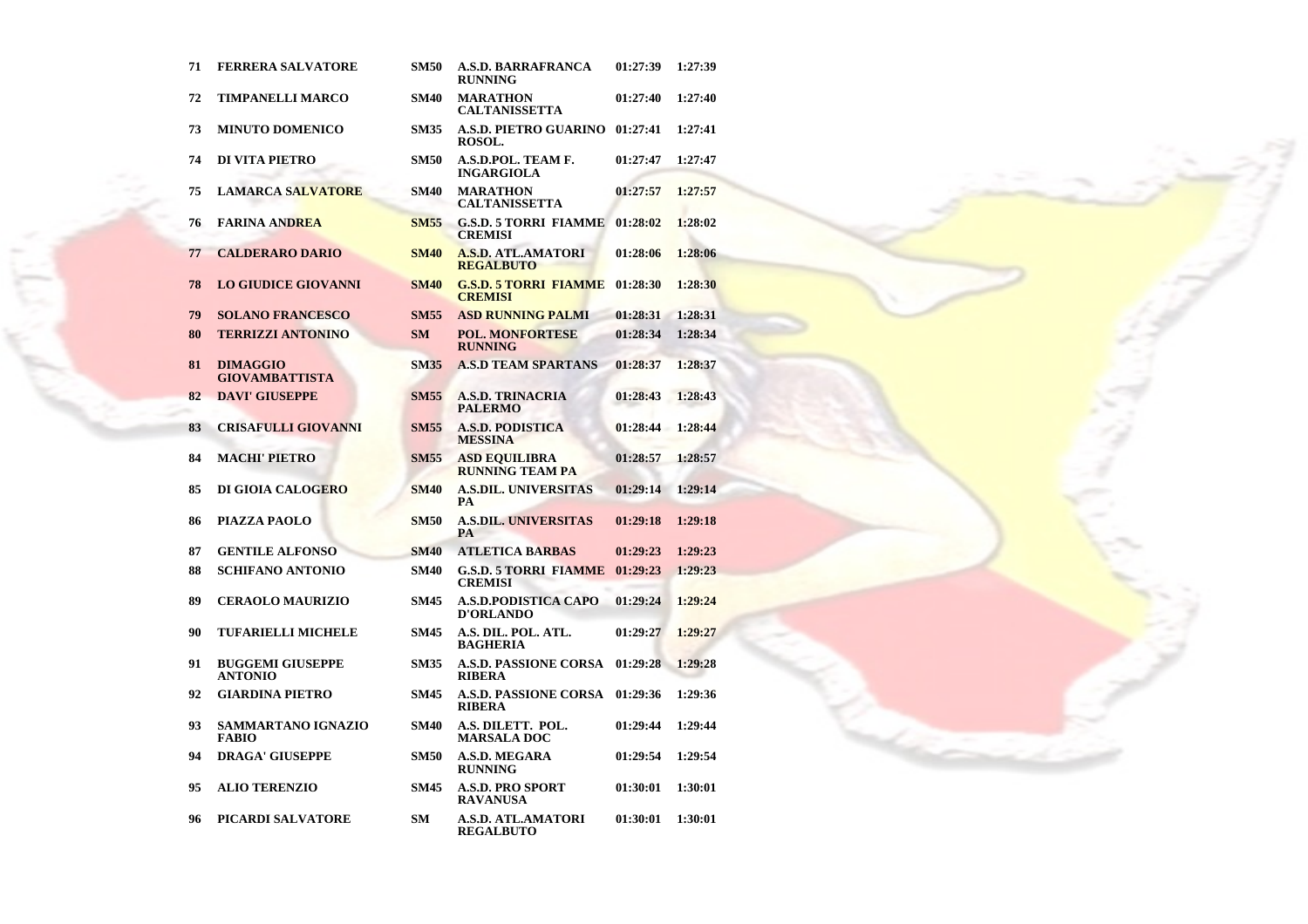| 71 | <b>FERRERA SALVATORE</b>                  | <b>SM50</b> | <b>A.S.D. BARRAFRANCA</b><br><b>RUNNING</b>    | 01:27:39 | 1:27:39 |
|----|-------------------------------------------|-------------|------------------------------------------------|----------|---------|
| 72 | <b>TIMPANELLI MARCO</b>                   | <b>SM40</b> | <b>MARATHON</b><br>CALTANISSETTA               | 01:27:40 | 1:27:40 |
| 73 | <b>MINUTO DOMENICO</b>                    | <b>SM35</b> | A.S.D. PIETRO GUARINO 01:27:41<br>ROSOL.       |          | 1:27:41 |
| 74 | DI VITA PIETRO                            | <b>SM50</b> | A.S.D.POL. TEAM F.<br><b>INGARGIOLA</b>        | 01:27:47 | 1:27:47 |
| 75 | <b>LAMARCA SALVATORE</b>                  | <b>SM40</b> | <b>MARATHON</b><br><b>CALTANISSETTA</b>        | 01:27:57 | 1:27:57 |
| 76 | <b>FARINA ANDREA</b>                      | <b>SM55</b> | <b>G.S.D. 5 TORRI FIAMME</b><br><b>CREMISI</b> | 01:28:02 | 1:28:02 |
| 77 | <b>CALDERARO DARIO</b>                    | <b>SM40</b> | <b>A.S.D. ATL.AMATORI</b><br><b>REGALBUTO</b>  | 01:28:06 | 1:28:06 |
| 78 | <b>LO GIUDICE GIOVANNI</b>                | <b>SM40</b> | <b>G.S.D. 5 TORRI FIAMME</b><br><b>CREMISI</b> | 01:28:30 | 1:28:30 |
| 79 | <b>SOLANO FRANCESCO</b>                   | <b>SM55</b> | <b>ASD RUNNING PALMI</b>                       | 01:28:31 | 1:28:31 |
| 80 | <b>TERRIZZI ANTONINO</b>                  | <b>SM</b>   | <b>POL. MONFORTESE</b><br><b>RUNNING</b>       | 01:28:34 | 1:28:34 |
| 81 | <b>DIMAGGIO</b><br><b>GIOVAMBATTISTA</b>  | <b>SM35</b> | <b>A.S.D TEAM SPARTANS</b>                     | 01:28:37 | 1:28:37 |
| 82 | <b>DAVI' GIUSEPPE</b>                     | <b>SM55</b> | <b>A.S.D. TRINACRIA</b><br><b>PALERMO</b>      | 01:28:43 | 1:28:43 |
| 83 | <b>CRISAFULLI GIOVANNI</b>                | <b>SM55</b> | <b>A.S.D. PODISTICA</b><br><b>MESSINA</b>      | 01:28:44 | 1:28:44 |
| 84 | <b>MACHI' PIETRO</b>                      | <b>SM55</b> | <b>ASD EQUILIBRA</b><br><b>RUNNING TEAM PA</b> | 01:28:57 | 1:28:57 |
| 85 | <b>DI GIOIA CALOGERO</b>                  | <b>SM40</b> | <b>A.S.DIL. UNIVERSITAS</b><br>PA              | 01:29:14 | 1:29:14 |
| 86 | PIAZZA PAOLO                              | <b>SM50</b> | <b>A.S.DIL. UNIVERSITAS</b><br>PA              | 01:29:18 | 1:29:18 |
| 87 | <b>GENTILE ALFONSO</b>                    | <b>SM40</b> | <b>ATLETICA BARBAS</b>                         | 01:29:23 | 1:29:23 |
| 88 | <b>SCHIFANO ANTONIO</b>                   | <b>SM40</b> | <b>G.S.D. 5 TORRI FIAMME</b><br><b>CREMISI</b> | 01:29:23 | 1:29:23 |
| 89 | <b>CERAOLO MAURIZIO</b>                   | <b>SM45</b> | A.S.D.PODISTICA CAPO<br><b>D'ORLANDO</b>       | 01:29:24 | 1:29:24 |
| 90 | <b>TUFARIELLI MICHELE</b>                 | <b>SM45</b> | A.S. DIL. POL. ATL.<br><b>BAGHERIA</b>         | 01:29:27 | 1:29:27 |
| 91 | <b>BUGGEMI GIUSEPPE</b><br><b>ANTONIO</b> | <b>SM35</b> | <b>A.S.D. PASSIONE CORSA</b><br><b>RIBERA</b>  | 01:29:28 | 1:29:28 |
| 92 | <b>GIARDINA PIETRO</b>                    | <b>SM45</b> | <b>A.S.D. PASSIONE CORSA</b><br><b>RIBERA</b>  | 01:29:36 | 1:29:36 |
| 93 | SAMMARTANO IGNAZIO<br><b>FABIO</b>        | <b>SM40</b> | A.S. DILETT. POL.<br><b>MARSALA DOC</b>        | 01:29:44 | 1:29:44 |
| 94 | <b>DRAGA' GIUSEPPE</b>                    | <b>SM50</b> | <b>A.S.D. MEGARA</b><br><b>RUNNING</b>         | 01:29:54 | 1:29:54 |
| 95 | <b>ALIO TERENZIO</b>                      | <b>SM45</b> | <b>A.S.D. PRO SPORT</b><br><b>RAVANUSA</b>     | 01:30:01 | 1:30:01 |
| 96 | PICARDI SALVATORE                         | SМ          | A.S.D. ATL.AMATORI<br><b>REGALBUTO</b>         | 01:30:01 | 1:30:01 |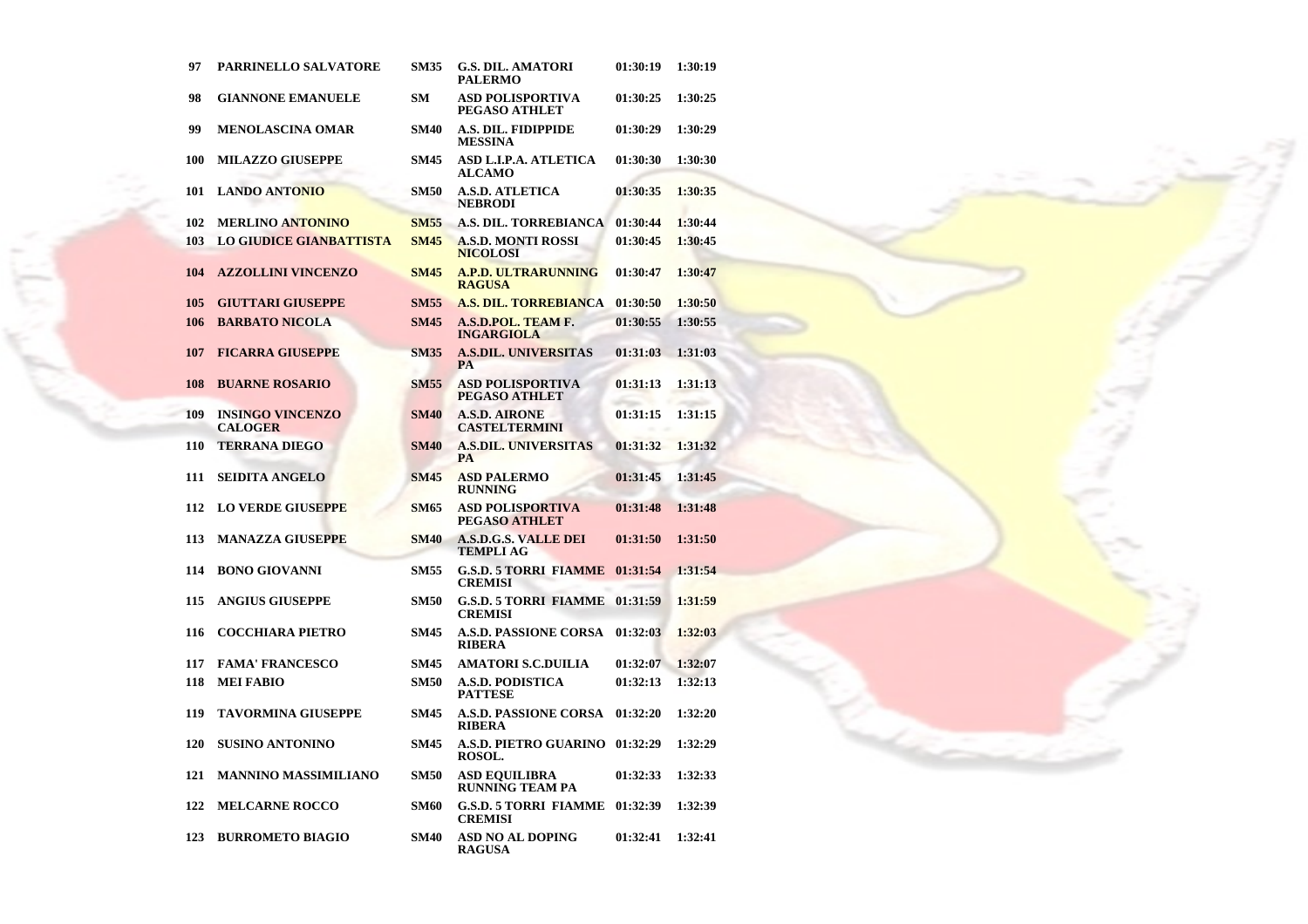| 97  | PARRINELLO SALVATORE                      | <b>SM35</b> | <b>G.S. DIL. AMATORI</b><br><b>PALERMO</b>     | 01:30:19 | 1:30:19 |
|-----|-------------------------------------------|-------------|------------------------------------------------|----------|---------|
| 98  | <b>GIANNONE EMANUELE</b>                  | SM          | <b>ASD POLISPORTIVA</b><br>PEGASO ATHLET       | 01:30:25 | 1:30:25 |
| 99  | <b>MENOLASCINA OMAR</b>                   | <b>SM40</b> | A.S. DIL. FIDIPPIDE<br><b>MESSINA</b>          | 01:30:29 | 1:30:29 |
| 100 | <b>MILAZZO GIUSEPPE</b>                   | <b>SM45</b> | ASD L.I.P.A. ATLETICA<br><b>ALCAMO</b>         | 01:30:30 | 1:30:30 |
| 101 | <b>LANDO ANTONIO</b>                      | <b>SM50</b> | <b>A.S.D. ATLETICA</b><br><b>NEBRODI</b>       | 01:30:35 | 1:30:35 |
| 102 | <b>MERLINO ANTONINO</b>                   | <b>SM55</b> | A.S. DIL. TORREBIANCA                          | 01:30:44 | 1:30:44 |
| 103 | <b>LO GIUDICE GIANBATTISTA</b>            | <b>SM45</b> | <b>A.S.D. MONTI ROSSI</b><br><b>NICOLOSI</b>   | 01:30:45 | 1:30:45 |
| 104 | <b>AZZOLLINI VINCENZO</b>                 | <b>SM45</b> | <b>A.P.D. ULTRARUNNING</b><br><b>RAGUSA</b>    | 01:30:47 | 1:30:47 |
| 105 | <b>GIUTTARI GIUSEPPE</b>                  | <b>SM55</b> | <b>A.S. DIL. TORREBIANCA</b>                   | 01:30:50 | 1:30:50 |
| 106 | <b>BARBATO NICOLA</b>                     | <b>SM45</b> | A.S.D.POL. TEAM F.<br><b>INGARGIOLA</b>        | 01:30:55 | 1:30:55 |
| 107 | <b>FICARRA GIUSEPPE</b>                   | <b>SM35</b> | <b>A.S.DIL. UNIVERSITAS</b><br><b>PA</b>       | 01:31:03 | 1:31:03 |
| 108 | <b>BUARNE ROSARIO</b>                     | <b>SM55</b> | ASD POLISPORTIVA<br><b>PEGASO ATHLET</b>       | 01:31:13 | 1:31:13 |
| 109 | <b>INSINGO VINCENZO</b><br><b>CALOGER</b> | <b>SM40</b> | <b>A.S.D. AIRONE</b><br><b>CASTELTERMINI</b>   | 01:31:15 | 1:31:15 |
| 110 | <b>TERRANA DIEGO</b>                      | <b>SM40</b> | <b>A.S.DIL. UNIVERSITAS</b><br><b>PA</b>       | 01:31:32 | 1:31:32 |
| 111 | <b>SEIDITA ANGELO</b>                     | <b>SM45</b> | <b>ASD PALERMO</b><br><b>RUNNING</b>           | 01:31:45 | 1:31:45 |
| 112 | <b>LO VERDE GIUSEPPE</b>                  | <b>SM65</b> | <b>ASD POLISPORTIVA</b><br>PEGASO ATHLET       | 01:31:48 | 1:31:48 |
| 113 | <b>MANAZZA GIUSEPPE</b>                   | <b>SM40</b> | <b>A.S.D.G.S. VALLE DEI</b><br>TEMPLI AG       | 01:31:50 | 1:31:50 |
| 114 | <b>BONO GIOVANNI</b>                      | <b>SM55</b> | <b>G.S.D. 5 TORRI FIAMME</b><br><b>CREMISI</b> | 01:31:54 | 1:31:54 |
| 115 | <b>ANGIUS GIUSEPPE</b>                    | <b>SM50</b> | <b>G.S.D. 5 TORRI FIAMME</b><br><b>CREMISI</b> | 01:31:59 | 1:31:59 |
| 116 | <b>COCCHIARA PIETRO</b>                   | <b>SM45</b> | <b>A.S.D. PASSIONE CORSA</b><br><b>RIBERA</b>  | 01:32:03 | 1:32:03 |
| 117 | <b>FAMA' FRANCESCO</b>                    | <b>SM45</b> | <b>AMATORI S.C.DUILIA</b>                      | 01:32:07 | 1:32:07 |
| 118 | <b>MEI FABIO</b>                          | <b>SM50</b> | <b>A.S.D. PODISTICA</b><br><b>PATTESE</b>      | 01:32:13 | 1:32:13 |
| 119 | TAVORMINA GIUSEPPE                        | <b>SM45</b> | <b>A.S.D. PASSIONE CORSA</b><br><b>RIBERA</b>  | 01:32:20 | 1:32:20 |
| 120 | <b>SUSINO ANTONINO</b>                    | <b>SM45</b> | A.S.D. PIETRO GUARINO<br>ROSOL.                | 01:32:29 | 1:32:29 |
| 121 | <b>MANNINO MASSIMILIANO</b>               | <b>SM50</b> | <b>ASD EQUILIBRA</b><br><b>RUNNING TEAM PA</b> | 01:32:33 | 1:32:33 |
| 122 | <b>MELCARNE ROCCO</b>                     | <b>SM60</b> | <b>G.S.D. 5 TORRI FIAMME</b><br><b>CREMISI</b> | 01:32:39 | 1:32:39 |
| 123 | <b>BURROMETO BIAGIO</b>                   | <b>SM40</b> | <b>ASD NO AL DOPING</b><br>RAGUSA              | 01:32:41 | 1:32:41 |

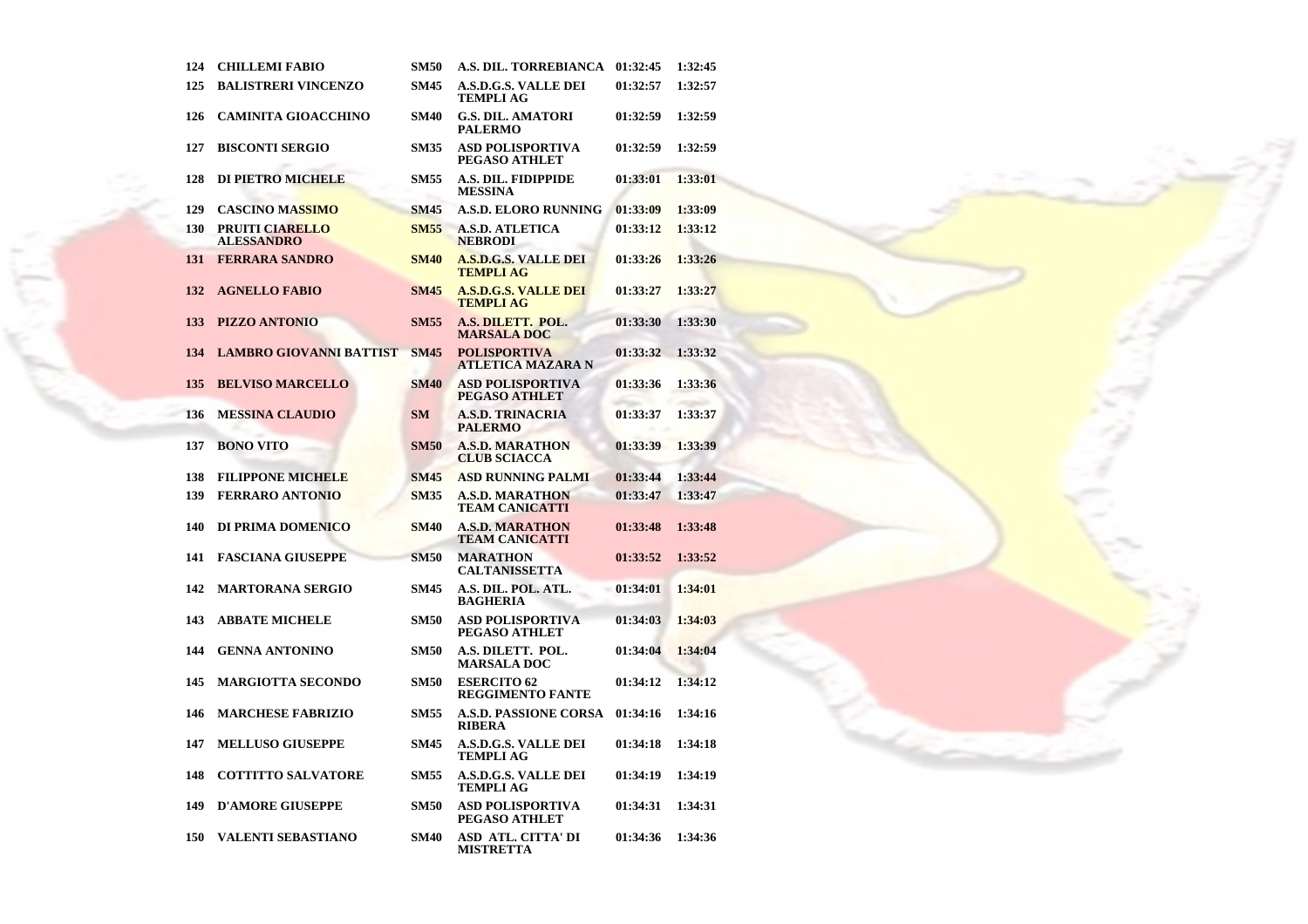| 124 | <b>CHILLEMI FABIO</b>                       | <b>SM50</b> | A.S. DIL. TORREBIANCA                           | 01:32:45 | 1:32:45 |
|-----|---------------------------------------------|-------------|-------------------------------------------------|----------|---------|
| 125 | <b>BALISTRERI VINCENZO</b>                  | <b>SM45</b> | <b>A.S.D.G.S. VALLE DEI</b><br><b>TEMPLI AG</b> | 01:32:57 | 1:32:57 |
| 126 | <b>CAMINITA GIOACCHINO</b>                  | <b>SM40</b> | <b>G.S. DIL. AMATORI</b><br><b>PALERMO</b>      | 01:32:59 | 1:32:59 |
| 127 | <b>BISCONTI SERGIO</b>                      | <b>SM35</b> | <b>ASD POLISPORTIVA</b><br>PEGASO ATHLET        | 01:32:59 | 1:32:59 |
| 128 | <b>DI PIETRO MICHELE</b>                    | <b>SM55</b> | A.S. DIL. FIDIPPIDE<br><b>MESSINA</b>           | 01:33:01 | 1:33:01 |
| 129 | <b>CASCINO MASSIMO</b>                      | <b>SM45</b> | A.S.D. ELORO RUNNING                            | 01:33:09 | 1:33:09 |
| 130 | <b>PRUITI CIARELLO</b><br><b>ALESSANDRO</b> | <b>SM55</b> | <b>A.S.D. ATLETICA</b><br><b>NEBRODI</b>        | 01:33:12 | 1:33:12 |
| 131 | <b>FERRARA SANDRO</b>                       | <b>SM40</b> | <b>A.S.D.G.S. VALLE DEI</b><br><b>TEMPLI AG</b> | 01:33:26 | 1:33:26 |
| 132 | <b>AGNELLO FABIO</b>                        | <b>SM45</b> | <b>A.S.D.G.S. VALLE DEI</b><br><b>TEMPLI AG</b> | 01:33:27 | 1:33:27 |
| 133 | PIZZO ANTONIO                               | <b>SM55</b> | A.S. DILETT. POL.<br><b>MARSALA DOC</b>         | 01:33:30 | 1:33:30 |
| 134 | <b>LAMBRO GIOVANNI BATTIST</b>              | <b>SM45</b> | <b>POLISPORTIVA</b><br><b>ATLETICA MAZARA N</b> | 01:33:32 | 1:33:32 |
| 135 | <b>BELVISO MARCELLO</b>                     | <b>SM40</b> | <b>ASD POLISPORTIVA</b><br>PEGASO ATHLET        | 01:33:36 | 1:33:36 |
| 136 | <b>MESSINA CLAUDIO</b>                      | <b>SM</b>   | <b>A.S.D. TRINACRIA</b><br><b>PALERMO</b>       | 01:33:37 | 1:33:37 |
| 137 | <b>BONO VITO</b>                            | <b>SM50</b> | <b>A.S.D. MARATHON</b><br><b>CLUB SCIACCA</b>   | 01:33:39 | 1:33:39 |
| 138 | <b>FILIPPONE MICHELE</b>                    | <b>SM45</b> | <b>ASD RUNNING PALMI</b>                        | 01:33:44 | 1:33:44 |
| 139 | <b>FERRARO ANTONIO</b>                      | <b>SM35</b> | <b>A.S.D. MARATHON</b><br><b>TEAM CANICATTI</b> | 01:33:47 | 1:33:47 |
| 140 | DI PRIMA DOMENICO                           | <b>SM40</b> | <b>A.S.D. MARATHON</b><br><b>TEAM CANICATTI</b> | 01:33:48 | 1:33:48 |
| 141 | <b>FASCIANA GIUSEPPE</b>                    | <b>SM50</b> | <b>MARATHON</b><br><b>CALTANISSETTA</b>         | 01:33:52 | 1:33:52 |
| 142 | <b>MARTORANA SERGIO</b>                     | <b>SM45</b> | A.S. DIL. POL. ATL.<br><b>BAGHERIA</b>          | 01:34:01 | 1:34:01 |
| 143 | <b>ABBATE MICHELE</b>                       | <b>SM50</b> | <b>ASD POLISPORTIVA</b><br>PEGASO ATHLET        | 01:34:03 | 1:34:03 |
| 144 | <b>GENNA ANTONINO</b>                       | <b>SM50</b> | A.S. DILETT. POL.<br><b>MARSALA DOC</b>         | 01:34:04 | 1:34:04 |
| 145 | <b>MARGIOTTA SECONDO</b>                    | <b>SM50</b> | <b>ESERCITO 62</b><br><b>REGGIMENTO FANTE</b>   | 01:34:12 | 1:34:12 |
| 146 | <b>MARCHESE FABRIZIO</b>                    | <b>SM55</b> | <b>A.S.D. PASSIONE CORSA</b><br><b>RIBERA</b>   | 01:34:16 | 1:34:16 |
| 147 | <b>MELLUSO GIUSEPPE</b>                     | <b>SM45</b> | <b>A.S.D.G.S. VALLE DEI</b><br><b>TEMPLI AG</b> | 01:34:18 | 1:34:18 |
| 148 | <b>COTTITTO SALVATORE</b>                   | <b>SM55</b> | <b>A.S.D.G.S. VALLE DEI</b><br><b>TEMPLI AG</b> | 01:34:19 | 1:34:19 |
| 149 | <b>D'AMORE GIUSEPPE</b>                     | <b>SM50</b> | <b>ASD POLISPORTIVA</b><br>PEGASO ATHLET        | 01:34:31 | 1:34:31 |
| 150 | <b>VALENTI SEBASTIANO</b>                   | <b>SM40</b> | <b>ASD ATL. CITTA' DI</b><br>MISTRETTA          | 01:34:36 | 1:34:36 |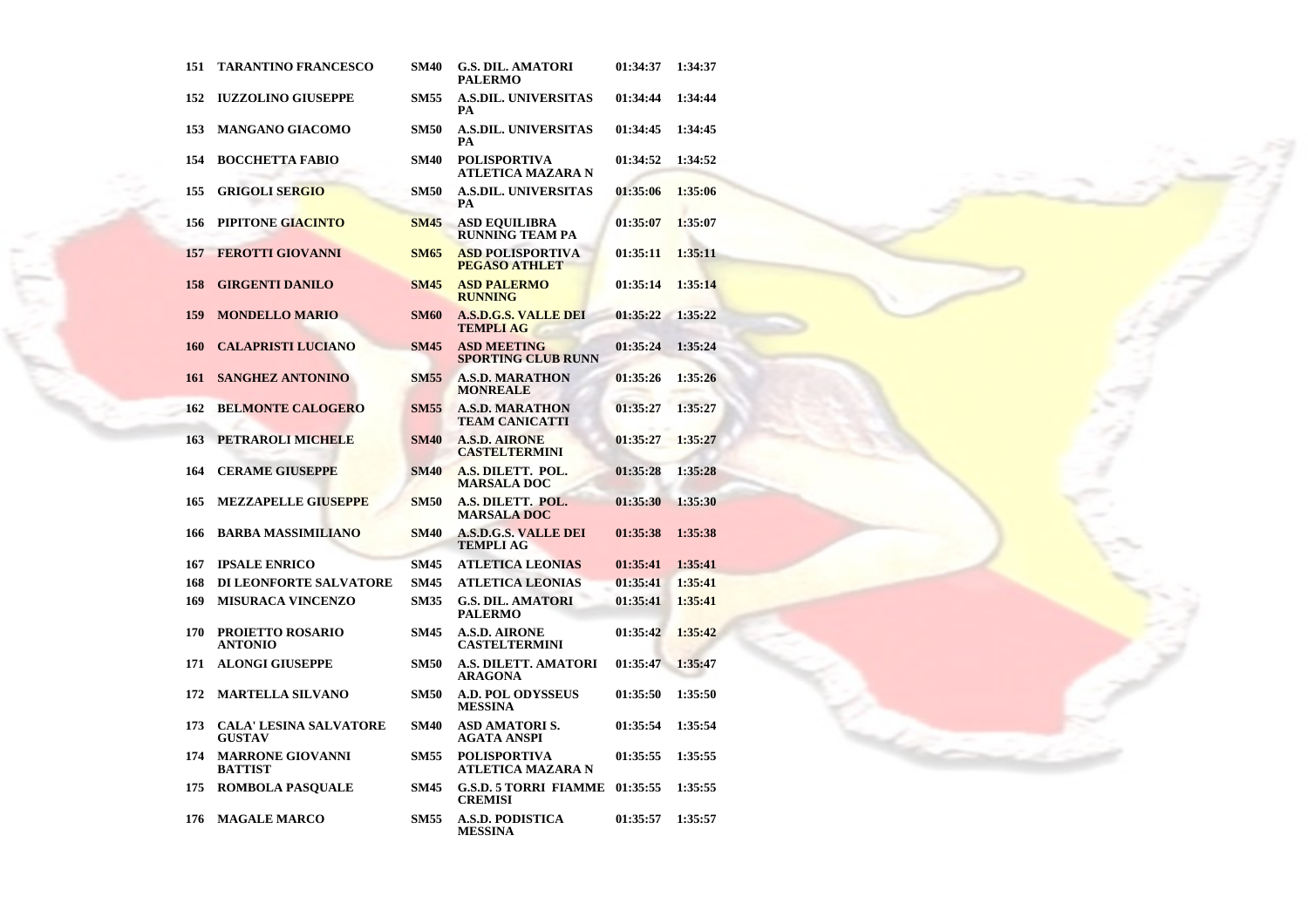| 151        | <b>TARANTINO FRANCESCO</b>                     | <b>SM40</b> | <b>G.S. DIL. AMATORI</b><br><b>PALERMO</b>      | 01:34:37 | 1:34:37 |
|------------|------------------------------------------------|-------------|-------------------------------------------------|----------|---------|
| 152        | <b>IUZZOLINO GIUSEPPE</b>                      | <b>SM55</b> | <b>A.S.DIL. UNIVERSITAS</b><br>PА               | 01:34:44 | 1:34:44 |
| 153        | <b>MANGANO GIACOMO</b>                         | <b>SM50</b> | <b>A.S.DIL. UNIVERSITAS</b><br>PA               | 01:34:45 | 1:34:45 |
| 154        | <b>BOCCHETTA FABIO</b>                         | <b>SM40</b> | <b>POLISPORTIVA</b><br>ATLETICA MAZARA N        | 01:34:52 | 1:34:52 |
| 155        | <b>GRIGOLI SERGIO</b>                          | <b>SM50</b> | <b>A.S.DIL. UNIVERSITAS</b><br>PA               | 01:35:06 | 1:35:06 |
| 156        | PIPITONE GIACINTO                              | <b>SM45</b> | <b>ASD EQUILIBRA</b><br><b>RUNNING TEAM PA</b>  | 01:35:07 | 1:35:07 |
| 157        | <b>FEROTTI GIOVANNI</b>                        | <b>SM65</b> | <b>ASD POLISPORTIVA</b><br><b>PEGASO ATHLET</b> | 01:35:11 | 1:35:11 |
| 158        | <b>GIRGENTI DANILO</b>                         | <b>SM45</b> | <b>ASD PALERMO</b><br><b>RUNNING</b>            | 01:35:14 | 1:35:14 |
| 159        | <b>MONDELLO MARIO</b>                          | <b>SM60</b> | <b>A.S.D.G.S. VALLE DEI</b><br><b>TEMPLI AG</b> | 01:35:22 | 1:35:22 |
| <b>160</b> | <b>CALAPRISTI LUCIANO</b>                      | <b>SM45</b> | <b>ASD MEETING</b><br><b>SPORTING CLUB RUNN</b> | 01:35:24 | 1:35:24 |
| 161        | <b>SANGHEZ ANTONINO</b>                        | <b>SM55</b> | <b>A.S.D. MARATHON</b><br><b>MONREALE</b>       | 01:35:26 | 1:35:26 |
| 162        | <b>BELMONTE CALOGERO</b>                       | <b>SM55</b> | <b>A.S.D. MARATHON</b><br><b>TEAM CANICATTI</b> | 01:35:27 | 1:35:27 |
| 163        | PETRAROLI MICHELE                              | <b>SM40</b> | <b>A.S.D. AIRONE</b><br><b>CASTELTERMINI</b>    | 01:35:27 | 1:35:27 |
| 164        | <b>CERAME GIUSEPPE</b>                         | <b>SM40</b> | A.S. DILETT. POL.<br><b>MARSALA DOC</b>         | 01:35:28 | 1:35:28 |
| 165        | <b>MEZZAPELLE GIUSEPPE</b>                     | <b>SM50</b> | A.S. DILETT. POL.<br><b>MARSALA DOC</b>         | 01:35:30 | 1:35:30 |
| 166        | <b>BARBA MASSIMILIANO</b>                      | <b>SM40</b> | <b>A.S.D.G.S. VALLE DEI</b><br><b>TEMPLIAG</b>  | 01:35:38 | 1:35:38 |
| 167        | <b>IPSALE ENRICO</b>                           | <b>SM45</b> | <b>ATLETICA LEONIAS</b>                         | 01:35:41 | 1:35:41 |
| 168        | DI LEONFORTE SALVATORE                         | <b>SM45</b> | <b>ATLETICA LEONIAS</b>                         | 01:35:41 | 1:35:41 |
| 169        | <b>MISURACA VINCENZO</b>                       | <b>SM35</b> | <b>G.S. DIL. AMATORI</b><br><b>PALERMO</b>      | 01:35:41 | 1:35:41 |
| 170        | <b>PROJETTO ROSARIO</b><br><b>ANTONIO</b>      | <b>SM45</b> | <b>A.S.D. AIRONE</b><br><b>CASTELTERMINI</b>    | 01:35:42 | 1:35:42 |
| 171        | <b>ALONGI GIUSEPPE</b>                         | <b>SM50</b> | <b>A.S. DILETT. AMATORI</b><br>ARAGONA          | 01:35:47 | 1:35:47 |
| 172        | <b>MARTELLA SILVANO</b>                        | <b>SM50</b> | <b>A.D. POL ODYSSEUS</b><br><b>MESSINA</b>      | 01:35:50 | 1:35:50 |
| 173        | <b>CALA' LESINA SALVATORE</b><br><b>GUSTAV</b> | <b>SM40</b> | <b>ASD AMATORIS.</b><br>AGATA ANSPI             | 01:35:54 | 1:35:54 |
| 174        | <b>MARRONE GIOVANNI</b><br><b>BATTIST</b>      | <b>SM55</b> | <b>POLISPORTIVA</b><br>ATLETICA MAZARA N        | 01:35:55 | 1:35:55 |
| 175        | <b>ROMBOLA PASQUALE</b>                        | <b>SM45</b> | <b>G.S.D. 5 TORRI FIAMME</b><br><b>CREMISI</b>  | 01:35:55 | 1:35:55 |
| 176        | <b>MAGALE MARCO</b>                            | <b>SM55</b> | <b>A.S.D. PODISTICA</b><br><b>MESSINA</b>       | 01:35:57 | 1:35:57 |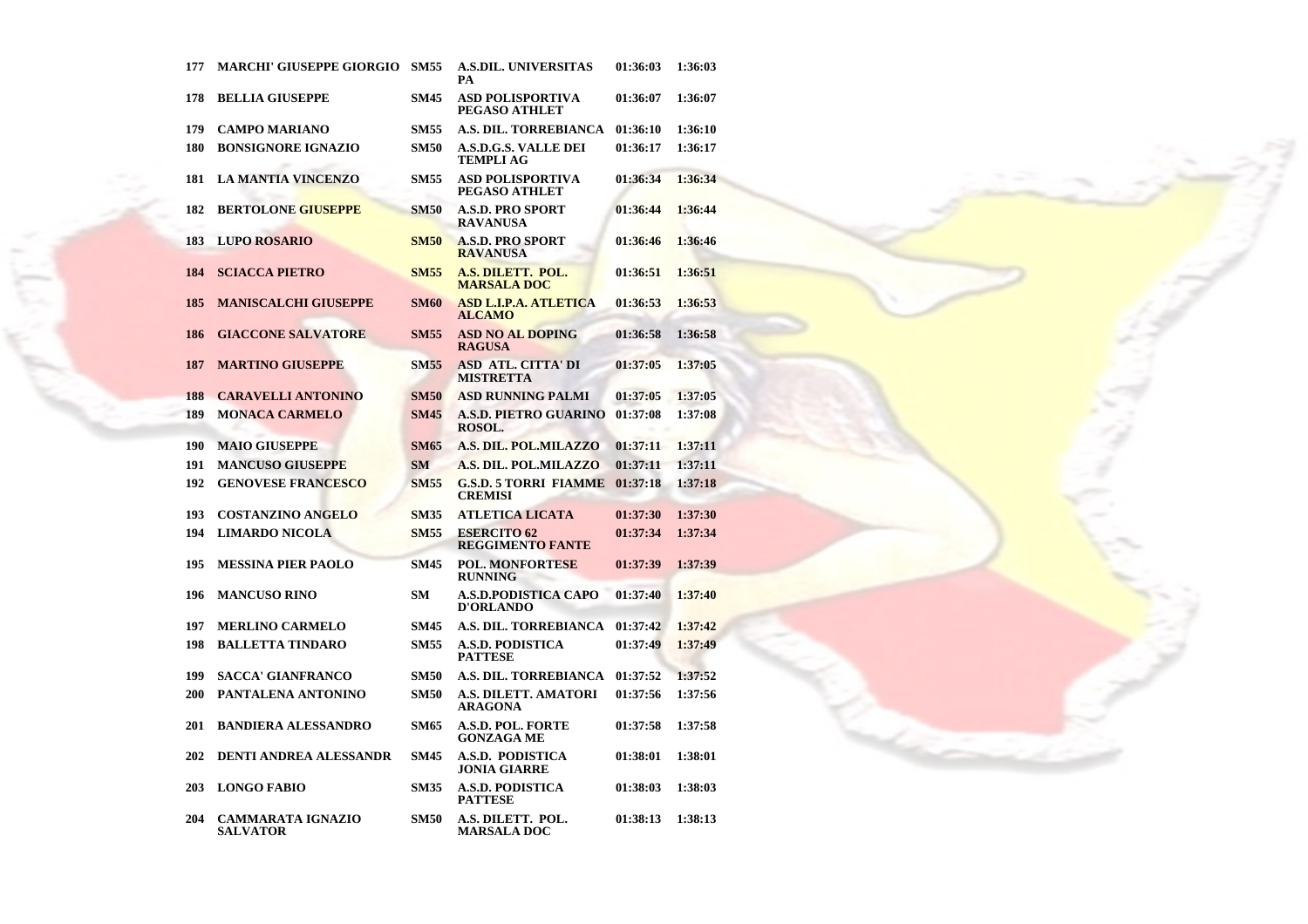| 177 | <b>MARCHI' GIUSEPPE GIORGIO</b>             | <b>SM55</b> | <b>A.S.DIL. UNIVERSITAS</b><br>PА               | 01:36:03 | 1:36:03 |
|-----|---------------------------------------------|-------------|-------------------------------------------------|----------|---------|
| 178 | <b>BELLIA GIUSEPPE</b>                      | <b>SM45</b> | ASD POLISPORTIVA<br>PEGASO ATHLET               | 01:36:07 | 1:36:07 |
| 179 | <b>CAMPO MARIANO</b>                        | <b>SM55</b> | A.S. DIL. TORREBIANCA                           | 01:36:10 | 1:36:10 |
| 180 | <b>BONSIGNORE IGNAZIO</b>                   | <b>SM50</b> | <b>A.S.D.G.S. VALLE DEI</b><br><b>TEMPLI AG</b> | 01:36:17 | 1:36:17 |
| 181 | <b>LA MANTIA VINCENZO</b>                   | <b>SM55</b> | <b>ASD POLISPORTIVA</b><br>PEGASO ATHLET        | 01:36:34 | 1:36:34 |
| 182 | <b>BERTOLONE GIUSEPPE</b>                   | <b>SM50</b> | <b>A.S.D. PRO SPORT</b><br><b>RAVANUSA</b>      | 01:36:44 | 1:36:44 |
| 183 | <b>LUPO ROSARIO</b>                         | <b>SM50</b> | <b>A.S.D. PRO SPORT</b><br><b>RAVANUSA</b>      | 01:36:46 | 1:36:46 |
| 184 | <b>SCIACCA PIETRO</b>                       | <b>SM55</b> | A.S. DILETT. POL.<br><b>MARSALA DOC</b>         | 01:36:51 | 1:36:51 |
| 185 | <b>MANISCALCHI GIUSEPPE</b>                 | <b>SM60</b> | <b>ASD L.I.P.A. ATLETICA</b><br><b>ALCAMO</b>   | 01:36:53 | 1:36:53 |
| 186 | <b>GIACCONE SALVATORE</b>                   | <b>SM55</b> | <b>ASD NO AL DOPING</b><br><b>RAGUSA</b>        | 01:36:58 | 1:36:58 |
| 187 | <b>MARTINO GIUSEPPE</b>                     | <b>SM55</b> | <b>ASD ATL. CITTA' DI</b><br><b>MISTRETTA</b>   | 01:37:05 | 1:37:05 |
| 188 | <b>CARAVELLI ANTONINO</b>                   | <b>SM50</b> | <b>ASD RUNNING PALMI</b>                        | 01:37:05 | 1:37:05 |
| 189 | <b>MONACA CARMELO</b>                       | <b>SM45</b> | <b>A.S.D. PIETRO GUARINO</b><br>ROSOL.          | 01:37:08 | 1:37:08 |
| 190 | <b>MAIO GIUSEPPE</b>                        | <b>SM65</b> | A.S. DIL. POL.MILAZZO                           | 01:37:11 | 1:37:11 |
| 191 | <b>MANCUSO GIUSEPPE</b>                     | <b>SM</b>   | A.S. DIL. POL.MILAZZO                           | 01:37:11 | 1:37:11 |
| 192 | <b>GENOVESE FRANCESCO</b>                   | <b>SM55</b> | <b>G.S.D. 5 TORRI FIAMME</b><br><b>CREMISI</b>  | 01:37:18 | 1:37:18 |
| 193 | <b>COSTANZINO ANGELO</b>                    | <b>SM35</b> | <b>ATLETICA LICATA</b>                          | 01:37:30 | 1:37:30 |
| 194 | <b>LIMARDO NICOLA</b>                       | <b>SM55</b> | <b>ESERCITO 62</b><br><b>REGGIMENTO FANTE</b>   | 01:37:34 | 1:37:34 |
| 195 | <b>MESSINA PIER PAOLO</b>                   | <b>SM45</b> | <b>POL. MONFORTESE</b><br><b>RUNNING</b>        | 01:37:39 | 1:37:39 |
| 196 | <b>MANCUSO RINO</b>                         | <b>SM</b>   | <b>A.S.D.PODISTICA CAPO</b><br><b>D'ORLANDO</b> | 01:37:40 | 1:37:40 |
| 197 | <b>MERLINO CARMELO</b>                      | <b>SM45</b> | A.S. DIL. TORREBIANCA                           | 01:37:42 | 1:37:42 |
| 198 | <b>BALLETTA TINDARO</b>                     | <b>SM55</b> | <b>A.S.D. PODISTICA</b><br><b>PATTESE</b>       | 01:37:49 | 1:37:49 |
| 199 | <b>SACCA' GIANFRANCO</b>                    | <b>SM50</b> | <b>A.S. DIL. TORREBIANCA</b>                    | 01:37:52 | 1:37:52 |
| 200 | PANTALENA ANTONINO                          | <b>SM50</b> | <b>A.S. DILETT. AMATORI</b><br><b>ARAGONA</b>   | 01:37:56 | 1:37:56 |
| 201 | <b>BANDIERA ALESSANDRO</b>                  | <b>SM65</b> | A.S.D. POL. FORTE<br><b>GONZAGA ME</b>          | 01:37:58 | 1:37:58 |
| 202 | <b>DENTI ANDREA ALESSANDR</b>               | <b>SM45</b> | A.S.D. PODISTICA<br><b>JONIA GIARRE</b>         | 01:38:01 | 1:38:01 |
| 203 | <b>LONGO FABIO</b>                          | <b>SM35</b> | <b>A.S.D. PODISTICA</b><br><b>PATTESE</b>       | 01:38:03 | 1:38:03 |
| 204 | <b>CAMMARATA IGNAZIO</b><br><b>SALVATOR</b> | <b>SM50</b> | A.S. DILETT. POL.<br><b>MARSALA DOC</b>         | 01:38:13 | 1:38:13 |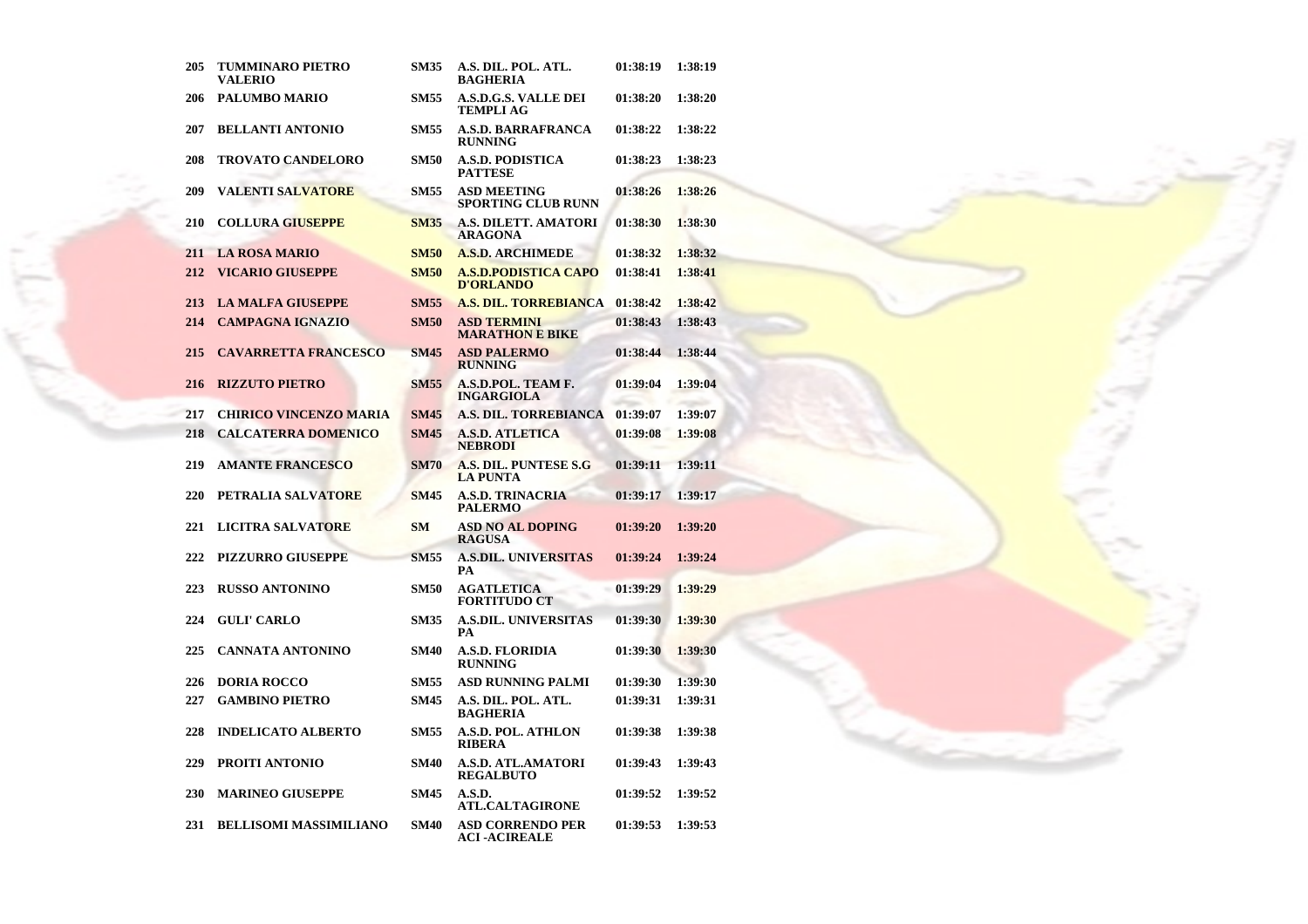| 205 | <b>TUMMINARO PIETRO</b><br><b>VALERIO</b> | <b>SM35</b> | A.S. DIL. POL. ATL.<br><b>BAGHERIA</b>          | 01:38:19 | 1:38:19 |
|-----|-------------------------------------------|-------------|-------------------------------------------------|----------|---------|
| 206 | <b>PALUMBO MARIO</b>                      | SM55        | <b>A.S.D.G.S. VALLE DEI</b><br>TEMPLI AG        | 01:38:20 | 1:38:20 |
| 207 | <b>BELLANTI ANTONIO</b>                   | <b>SM55</b> | <b>A.S.D. BARRAFRANCA</b><br><b>RUNNING</b>     | 01:38:22 | 1:38:22 |
| 208 | <b>TROVATO CANDELORO</b>                  | <b>SM50</b> | <b>A.S.D. PODISTICA</b><br><b>PATTESE</b>       | 01:38:23 | 1:38:23 |
| 209 | <b>VALENTI SALVATORE</b>                  | <b>SM55</b> | <b>ASD MEETING</b><br>SPORTING CLUB RUNN        | 01:38:26 | 1:38:26 |
| 210 | <b>COLLURA GIUSEPPE</b>                   | <b>SM35</b> | A.S. DILETT. AMATORI<br><b>ARAGONA</b>          | 01:38:30 | 1:38:30 |
| 211 | <b>LA ROSA MARIO</b>                      | <b>SM50</b> | <b>A.S.D. ARCHIMEDE</b>                         | 01:38:32 | 1:38:32 |
| 212 | <b>VICARIO GIUSEPPE</b>                   | <b>SM50</b> | <b>A.S.D.PODISTICA CAPO</b><br><b>D'ORLANDO</b> | 01:38:41 | 1:38:41 |
| 213 | <b>LA MALFA GIUSEPPE</b>                  | <b>SM55</b> | <b>A.S. DIL. TORREBIANCA</b>                    | 01:38:42 | 1:38:42 |
| 214 | <b>CAMPAGNA IGNAZIO</b>                   | <b>SM50</b> | <b>ASD TERMINI</b><br><b>MARATHON E BIKE</b>    | 01:38:43 | 1:38:43 |
| 215 | <b>CAVARRETTA FRANCESCO</b>               | <b>SM45</b> | <b>ASD PALERMO</b><br><b>RUNNING</b>            | 01:38:44 | 1:38:44 |
| 216 | <b>RIZZUTO PIETRO</b>                     | <b>SM55</b> | A.S.D.POL. TEAM F.<br><b>INGARGIOLA</b>         | 01:39:04 | 1:39:04 |
| 217 | <b>CHIRICO VINCENZO MARIA</b>             | <b>SM45</b> | <b>A.S. DIL. TORREBIANCA</b>                    | 01:39:07 | 1:39:07 |
| 218 | <b>CALCATERRA DOMENICO</b>                | <b>SM45</b> | <b>A.S.D. ATLETICA</b><br><b>NEBRODI</b>        | 01:39:08 | 1:39:08 |
| 219 | <b>AMANTE FRANCESCO</b>                   | <b>SM70</b> | A.S. DIL. PUNTESE S.G<br><b>LA PUNTA</b>        | 01:39:11 | 1:39:11 |
| 220 | PETRALIA SALVATORE                        | <b>SM45</b> | <b>A.S.D. TRINACRIA</b><br><b>PALERMO</b>       | 01:39:17 | 1:39:17 |
| 221 | <b>LICITRA SALVATORE</b>                  | <b>SM</b>   | <b>ASD NO AL DOPING</b><br><b>RAGUSA</b>        | 01:39:20 | 1:39:20 |
| 222 | <b>PIZZURRO GIUSEPPE</b>                  | <b>SM55</b> | <b>A.S.DIL. UNIVERSITAS</b><br>PА               | 01:39:24 | 1:39:24 |
| 223 | <b>RUSSO ANTONINO</b>                     | <b>SM50</b> | <b>AGATLETICA</b><br><b>FORTITUDO CT</b>        | 01:39:29 | 1:39:29 |
| 224 | <b>GULI' CARLO</b>                        | <b>SM35</b> | <b>A.S.DIL. UNIVERSITAS</b><br>PА               | 01:39:30 | 1:39:30 |
| 225 | <b>CANNATA ANTONINO</b>                   | <b>SM40</b> | A.S.D. FLORIDIA<br><b>RUNNING</b>               | 01:39:30 | 1:39:30 |
| 226 | <b>DORIA ROCCO</b>                        | <b>SM55</b> | ASD RUNNING PALMI                               | 01:39:30 | 1:39:30 |
| 227 | <b>GAMBINO PIETRO</b>                     | <b>SM45</b> | A.S. DIL. POL. ATL.<br><b>BAGHERIA</b>          | 01:39:31 | 1:39:31 |
| 228 | <b>INDELICATO ALBERTO</b>                 | <b>SM55</b> | <b>A.S.D. POL. ATHLON</b><br><b>RIBERA</b>      | 01:39:38 | 1:39:38 |
| 229 | PROITI ANTONIO                            | <b>SM40</b> | <b>A.S.D. ATL.AMATORI</b><br><b>REGALBUTO</b>   | 01:39:43 | 1:39:43 |
| 230 | <b>MARINEO GIUSEPPE</b>                   | <b>SM45</b> | A.S.D.<br><b>ATL.CALTAGIRONE</b>                | 01:39:52 | 1:39:52 |
| 231 | <b>BELLISOMI MASSIMILIANO</b>             | <b>SM40</b> | <b>ASD CORRENDO PER</b><br><b>ACI-ACIREALE</b>  | 01:39:53 | 1:39:53 |

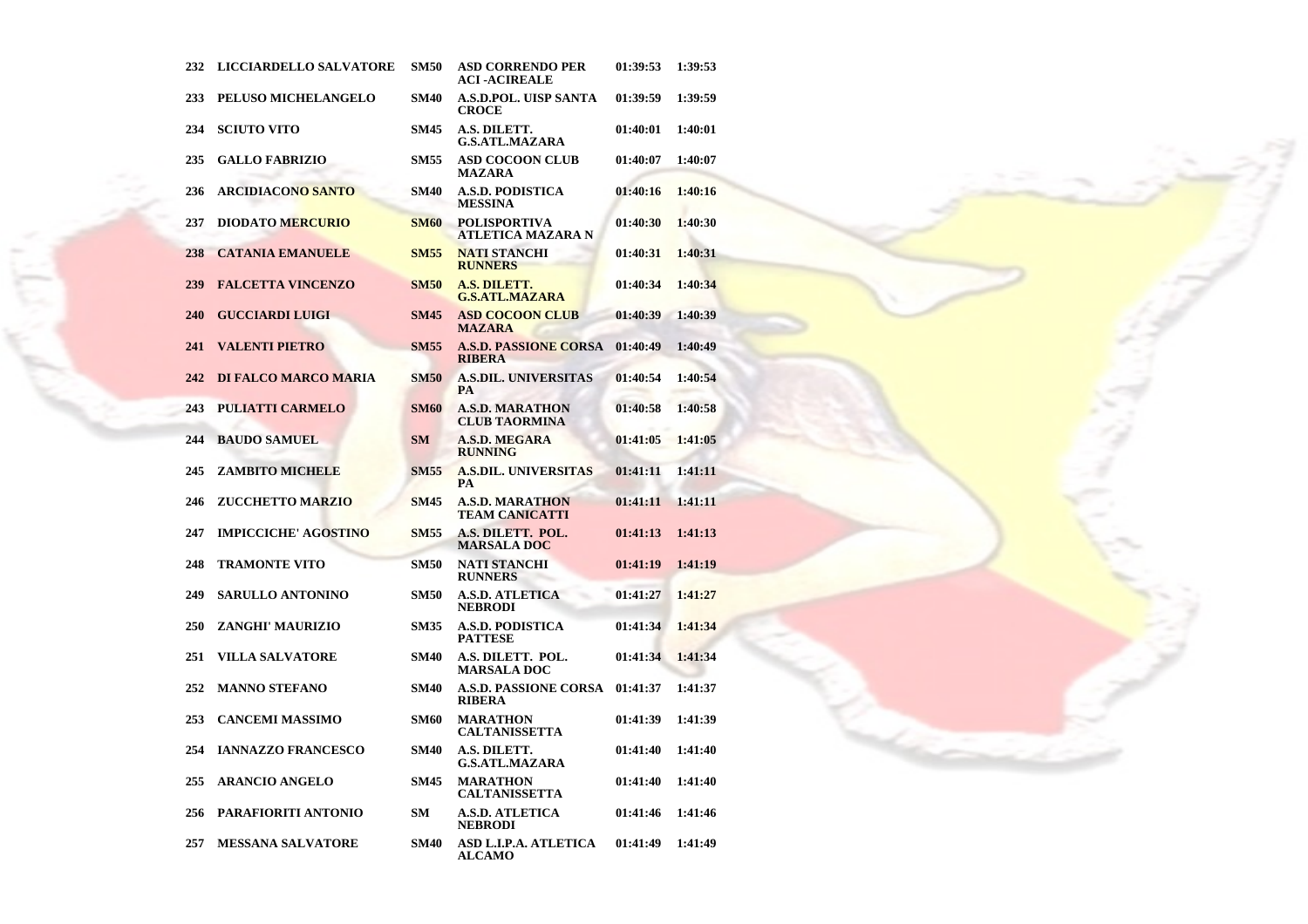| 232 | <b>LICCIARDELLO SALVATORE</b>         | <b>SM50</b> | <b>ASD CORRENDO PER</b><br><b>ACI-ACIREALE</b>  | 01:39:53 | 1:39:53 |
|-----|---------------------------------------|-------------|-------------------------------------------------|----------|---------|
| 233 | PELUSO MICHELANGELO                   | SM40        | <b>A.S.D.POL. UISP SANTA</b><br><b>CROCE</b>    | 01:39:59 | 1:39:59 |
| 234 | <b>SCIUTO VITO</b>                    | <b>SM45</b> | A.S. DILETT.<br><b>G.S.ATL.MAZARA</b>           | 01:40:01 | 1:40:01 |
| 235 | <b>GALLO FABRIZIO</b>                 | <b>SM55</b> | <b>ASD COCOON CLUB</b><br><b>MAZARA</b>         | 01:40:07 | 1:40:07 |
| 236 | <b>ARCIDIACON<mark>O SANTO</mark></b> | <b>SM40</b> | <b>A.S.D. PODISTICA</b><br><b>MESSINA</b>       | 01:40:16 | 1:40:16 |
| 237 | <b>DIODATO MERCURIO</b>               | <b>SM60</b> | <b>POLISPORTIVA</b><br>ATLETICA MAZARA N        | 01:40:30 | 1:40:30 |
| 238 | <b>CATANIA EMANUELE</b>               | <b>SM55</b> | <b>NATI STANCHI</b><br><b>RUNNERS</b>           | 01:40:31 | 1:40:31 |
| 239 | <b>FALCETTA VINCENZO</b>              | <b>SM50</b> | A.S. DILETT.<br><b>G.S.ATL.MAZARA</b>           | 01:40:34 | 1:40:34 |
| 240 | <b>GUCCIARDI LUIGI</b>                | <b>SM45</b> | <b>ASD COCOON CLUB</b><br><b>MAZARA</b>         | 01:40:39 | 1:40:39 |
| 241 | <b>VALENTI PIETRO</b>                 | <b>SM55</b> | <b>A.S.D. PASSIONE CORSA</b><br><b>RIBERA</b>   | 01:40:49 | 1:40:49 |
| 242 | <b>DI FALCO MARCO MARIA</b>           | <b>SM50</b> | <b>A.S.DIL. UNIVERSITAS</b><br><b>PA</b>        | 01:40:54 | 1:40:54 |
| 243 | <b>PULIATTI CARMELO</b>               | <b>SM60</b> | <b>A.S.D. MARATHON</b><br><b>CLUB TAORMINA</b>  | 01:40:58 | 1:40:58 |
| 244 | <b>BAUDO SAMUEL</b>                   | <b>SM</b>   | <b>A.S.D. MEGARA</b><br><b>RUNNING</b>          | 01:41:05 | 1:41:05 |
| 245 | ZAMBITO MICHELE                       | <b>SM55</b> | <b>A.S.DIL. UNIVERSITAS</b><br><b>PA</b>        | 01:41:11 | 1:41:11 |
| 246 | <b>ZUCCHETTO MARZIO</b>               | <b>SM45</b> | <b>A.S.D. MARATHON</b><br><b>TEAM CANICATTI</b> | 01:41:11 | 1:41:11 |
| 247 | <b>IMPICCICHE' AGOSTINO</b>           | <b>SM55</b> | A.S. DILETT. POL.<br><b>MARSALA DOC</b>         | 01:41:13 | 1:41:13 |
| 248 | <b>TRAMONTE VITO</b>                  | <b>SM50</b> | <b>NATI STANCHI</b><br><b>RUNNERS</b>           | 01:41:19 | 1:41:19 |
| 249 | <b>SARULLO ANTONINO</b>               | <b>SM50</b> | <b>A.S.D. ATLETICA</b><br><b>NEBRODI</b>        | 01:41:27 | 1:41:27 |
| 250 | ZANGHI' MAURIZIO                      | <b>SM35</b> | <b>A.S.D. PODISTICA</b><br><b>PATTESE</b>       | 01:41:34 | 1:41:34 |
| 251 | <b>VILLA SALVATORE</b>                | <b>SM40</b> | A.S. DILETT. POL.<br><b>MARSALA DOC</b>         | 01:41:34 | 1:41:34 |
| 252 | <b>MANNO STEFANO</b>                  | <b>SM40</b> | <b>A.S.D. PASSIONE CORSA</b><br><b>RIBERA</b>   | 01:41:37 | 1:41:37 |
| 253 | <b>CANCEMI MASSIMO</b>                | <b>SM60</b> | <b>MARATHON</b><br><b>CALTANISSETTA</b>         | 01:41:39 | 1:41:39 |
| 254 | <b>IANNAZZO FRANCESCO</b>             | <b>SM40</b> | A.S. DILETT.<br><b>G.S.ATL.MAZARA</b>           | 01:41:40 | 1:41:40 |
| 255 | <b>ARANCIO ANGELO</b>                 | <b>SM45</b> | <b>MARATHON</b><br><b>CALTANISSETTA</b>         | 01:41:40 | 1:41:40 |
| 256 | PARAFIORITI ANTONIO                   | <b>SM</b>   | <b>A.S.D. ATLETICA</b><br><b>NEBRODI</b>        | 01:41:46 | 1:41:46 |
| 257 | <b>MESSANA SALVATORE</b>              | <b>SM40</b> | ASD L.I.P.A. ATLETICA<br><b>ALCAMO</b>          | 01:41:49 | 1:41:49 |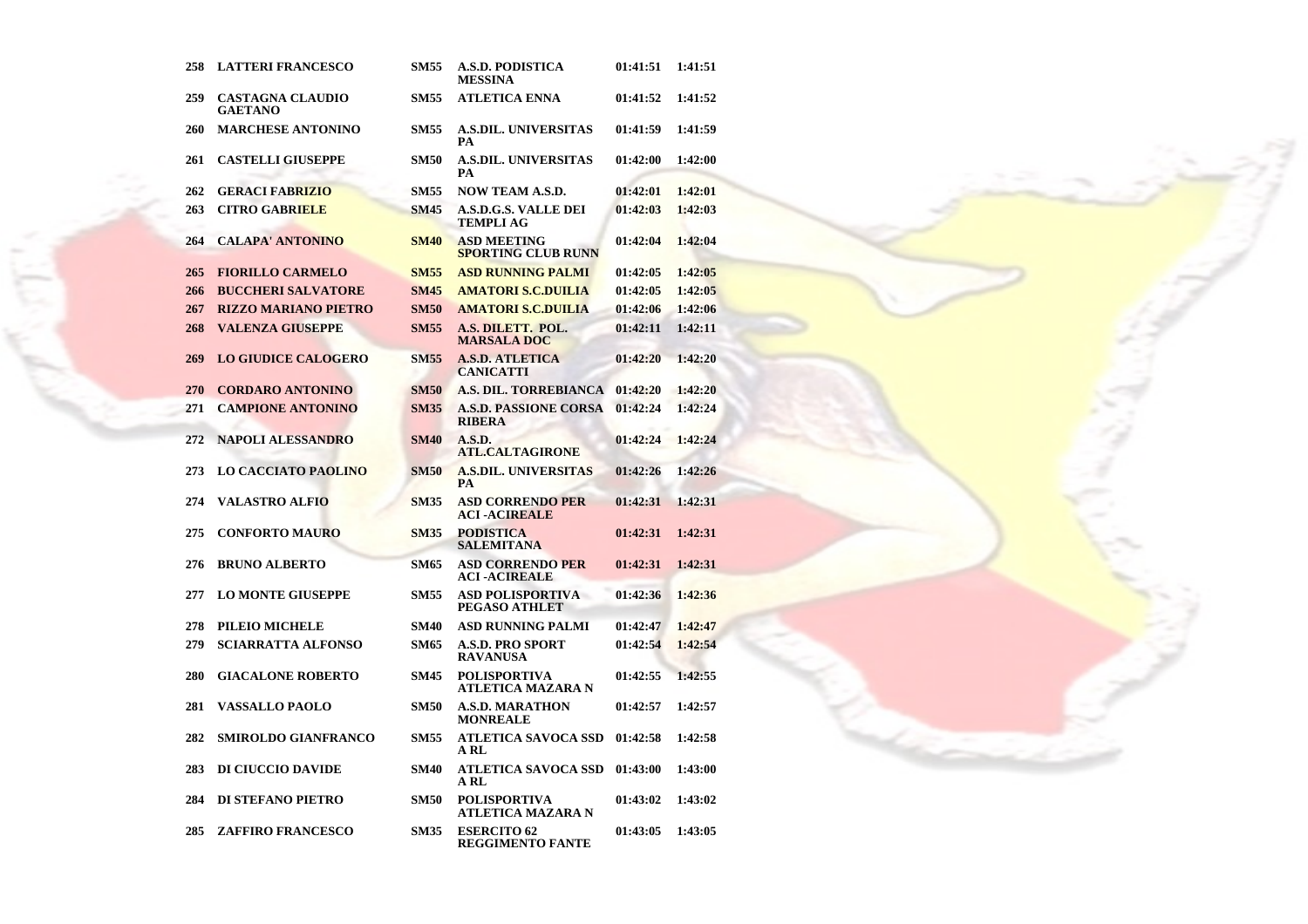| 258 | <b>LATTERI FRANCESCO</b>                  | <b>SM55</b> | A.S.D. PODISTICA<br><b>MESSINA</b>              | 01:41:51 | 1:41:51 |
|-----|-------------------------------------------|-------------|-------------------------------------------------|----------|---------|
| 259 | <b>CASTAGNA CLAUDIO</b><br><b>GAETANO</b> | <b>SM55</b> | <b>ATLETICA ENNA</b>                            | 01:41:52 | 1:41:52 |
| 260 | <b>MARCHESE ANTONINO</b>                  | <b>SM55</b> | <b>A.S.DIL. UNIVERSITAS</b><br>PА               | 01:41:59 | 1:41:59 |
| 261 | <b>CASTELLI GIUSEPPE</b>                  | <b>SM50</b> | <b>A.S.DIL. UNIVERSITAS</b><br>PА               | 01:42:00 | 1:42:00 |
| 262 | <b>GERACI FABRIZIO</b>                    | <b>SM55</b> | <b>NOW TEAM A.S.D.</b>                          | 01:42:01 | 1:42:01 |
| 263 | <b>CITRO GABRIELE</b>                     | <b>SM45</b> | A.S.D.G.S. VALLE DEI<br>TEMPLI AG               | 01:42:03 | 1:42:03 |
| 264 | <b>CALAPA' ANTONINO</b>                   | <b>SM40</b> | <b>ASD MEETING</b><br><b>SPORTING CLUB RUNN</b> | 01:42:04 | 1:42:04 |
| 265 | <b>FIORILLO CARMELO</b>                   | <b>SM55</b> | <b>ASD RUNNING PALMI</b>                        | 01:42:05 | 1:42:05 |
| 266 | <b>BUCCHERI SALVATORE</b>                 | <b>SM45</b> | <b>AMATORI S.C.DUILIA</b>                       | 01:42:05 | 1:42:05 |
| 267 | <b>RIZZO MARIANO PIETRO</b>               | <b>SM50</b> | <b>AMATORI S.C.DUILIA</b>                       | 01:42:06 | 1:42:06 |
| 268 | <b>VALENZA GIUSEPPE</b>                   | <b>SM55</b> | A.S. DILETT. POL.<br><b>MARSALA DOC</b>         | 01:42:11 | 1:42:11 |
| 269 | <b>LO GIUDICE CALOGERO</b>                | <b>SM55</b> | <b>A.S.D. ATLETICA</b><br><b>CANICATTI</b>      | 01:42:20 | 1:42:20 |
| 270 | <b>CORDARO ANTONINO</b>                   | <b>SM50</b> | A.S. DIL. TORREBIANCA                           | 01:42:20 | 1:42:20 |
| 271 | <b>CAMPIONE ANTONINO</b>                  | <b>SM35</b> | <b>A.S.D. PASSIONE CORSA</b><br><b>RIBERA</b>   | 01:42:24 | 1:42:24 |
| 272 | <b>NAPOLI ALESSANDRO</b>                  | <b>SM40</b> | A.S.D.<br>ATL.CALTAGIRONE                       | 01:42:24 | 1:42:24 |
| 273 | <b>LO CACCIATO PAOLINO</b>                | <b>SM50</b> | <b>A.S.DIL. UNIVERSITAS</b><br><b>PA</b>        | 01:42:26 | 1:42:26 |
| 274 | <b>VALASTRO ALFIO</b>                     | <b>SM35</b> | ASD CORRENDO PER<br><b>ACI-ACIREALE</b>         | 01:42:31 | 1:42:31 |
| 275 | <b>CONFORTO MAURO</b>                     | <b>SM35</b> | <b>PODISTICA</b><br><b>SALEMITANA</b>           | 01:42:31 | 1:42:31 |
| 276 | <b>BRUNO ALBERTO</b>                      | <b>SM65</b> | <b>ASD CORRENDO PER</b><br><b>ACI-ACIREALE</b>  | 01:42:31 | 1:42:31 |
| 277 | <b>LO MONTE GIUSEPPE</b>                  | <b>SM55</b> | <b>ASD POLISPORTIVA</b><br>PEGASO ATHLET        | 01:42:36 | 1:42:36 |
| 278 | PILEIO MICHELE                            | <b>SM40</b> | ASD RUNNING PALMI                               | 01:42:47 | 1:42:47 |
| 279 | <b>SCIARRATTA ALFONSO</b>                 | <b>SM65</b> | A.S.D. PRO SPORT<br><b>RAVANUSA</b>             | 01:42:54 | 1:42:54 |
| 280 | <b>GIACALONE ROBERTO</b>                  | <b>SM45</b> | <b>POLISPORTIVA</b><br>ATLETICA MAZARA N        | 01:42:55 | 1:42:55 |
| 281 | <b>VASSALLO PAOLO</b>                     | <b>SM50</b> | <b>A.S.D. MARATHON</b><br><b>MONREALE</b>       | 01:42:57 | 1:42:57 |
| 282 | <b>SMIROLDO GIANFRANCO</b>                | <b>SM55</b> | ATLETICA SAVOCA SSD<br>A RL                     | 01:42:58 | 1:42:58 |
| 283 | DI CIUCCIO DAVIDE                         | SM40        | <b>ATLETICA SAVOCA SSD</b><br>A RL              | 01:43:00 | 1:43:00 |
| 284 | <b>DI STEFANO PIETRO</b>                  | <b>SM50</b> | POLISPORTIVA<br>ATLETICA MAZARA N               | 01:43:02 | 1:43:02 |
| 285 | <b>ZAFFIRO FRANCESCO</b>                  | <b>SM35</b> | <b>ESERCITO 62</b><br>REGGIMENTO FANTE          | 01:43:05 | 1:43:05 |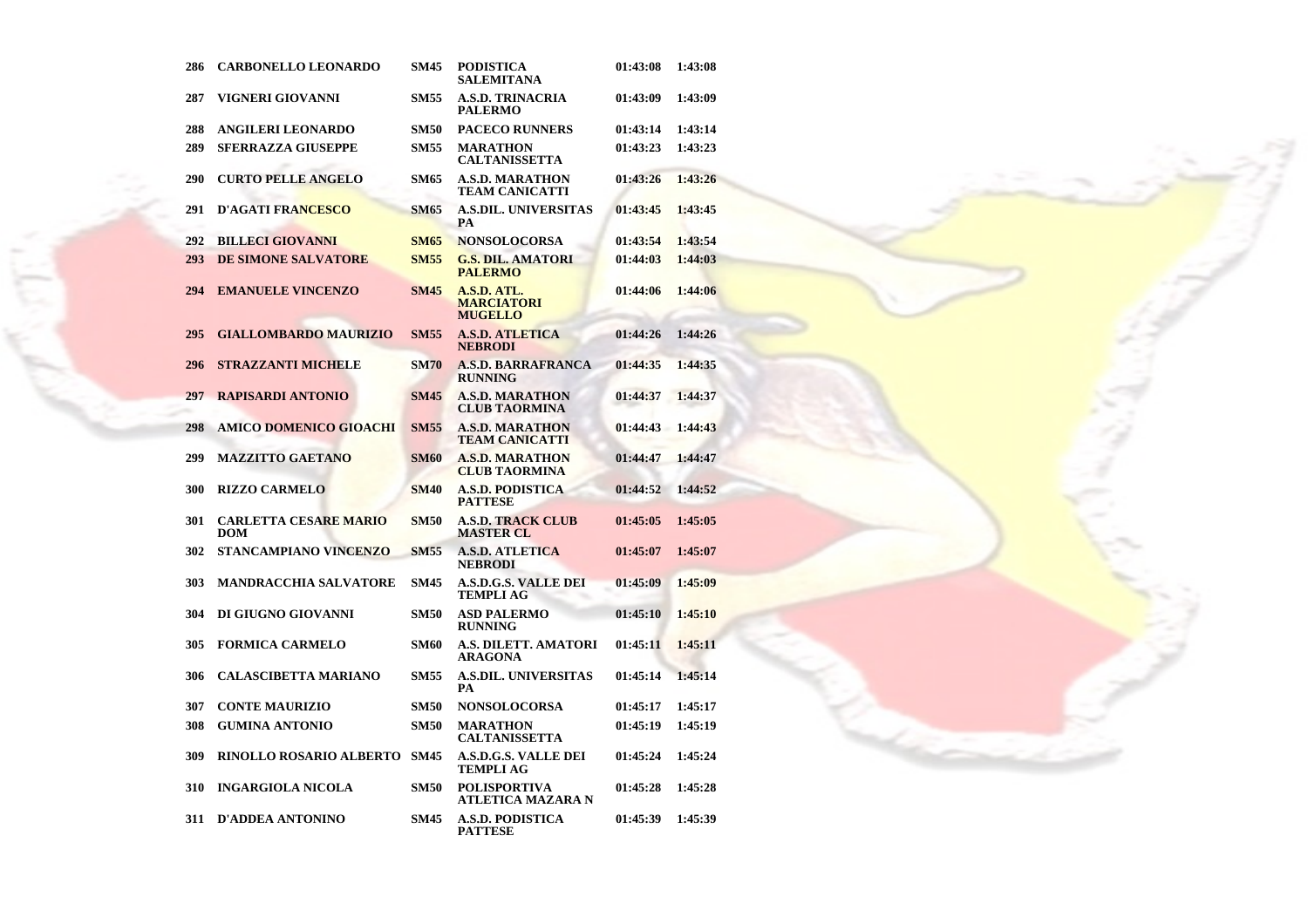| 286 | <b>CARBONELLO LEONARDO</b>          | <b>SM45</b> | <b>PODISTICA</b><br>SALEMITANA                     | 01:43:08 | 1:43:08 |
|-----|-------------------------------------|-------------|----------------------------------------------------|----------|---------|
| 287 | VIGNERI GIOVANNI                    | <b>SM55</b> | <b>A.S.D. TRINACRIA</b><br><b>PALERMO</b>          | 01:43:09 | 1:43:09 |
| 288 | ANGILERI LEONARDO                   | <b>SM50</b> | <b>PACECO RUNNERS</b>                              | 01:43:14 | 1:43:14 |
| 289 | <b>SFERRAZZA GIUSEPPE</b>           | <b>SM55</b> | <b>MARATHON</b><br><b>CALTANISSETTA</b>            | 01:43:23 | 1:43:23 |
| 290 | <b>CURTO PELLE ANGELO</b>           | <b>SM65</b> | <b>A.S.D. MARATHON</b><br><b>TEAM CANICATTI</b>    | 01:43:26 | 1:43:26 |
| 291 | <b>D'AGATI FRANCESCO</b>            | <b>SM65</b> | <b>A.S.DIL. UNIVERSITAS</b><br>РA                  | 01:43:45 | 1:43:45 |
| 292 | <b>BILLECI GIOVANNI</b>             | <b>SM65</b> | <b>NONSOLOCORSA</b>                                | 01:43:54 | 1:43:54 |
| 293 | <b>DE SIMONE SALVATORE</b>          | <b>SM55</b> | <b>G.S. DIL. AMATORI</b><br><b>PALERMO</b>         | 01:44:03 | 1:44:03 |
| 294 | <b>EMANUELE VINCENZO</b>            | <b>SM45</b> | A.S.D. ATL.<br><b>MARCIATORI</b><br><b>MUGELLO</b> | 01:44:06 | 1:44:06 |
| 295 | <b>GIALLOMBARDO MAURIZIO</b>        | <b>SM55</b> | <b>A.S.D. ATLETICA</b><br><b>NEBRODI</b>           | 01:44:26 | 1:44:26 |
| 296 | <b>STRAZZANTI MICHELE</b>           | <b>SM70</b> | <b>A.S.D. BARRAFRANCA</b><br><b>RUNNING</b>        | 01:44:35 | 1:44:35 |
| 297 | <b>RAPISARDI ANTONIO</b>            | <b>SM45</b> | <b>A.S.D. MARATHON</b><br><b>CLUB TAORMINA</b>     | 01:44:37 | 1:44:37 |
| 298 | AMICO DOMENICO GIOACHI              | <b>SM55</b> | <b>A.S.D. MARATHON</b><br><b>TEAM CANICATTI</b>    | 01:44:43 | 1:44:43 |
| 299 | <b>MAZZITTO GAETANO</b>             | <b>SM60</b> | <b>A.S.D. MARATHON</b><br><b>CLUB TAORMINA</b>     | 01:44:47 | 1:44:47 |
| 300 | <b>RIZZO CARMELO</b>                | <b>SM40</b> | <b>A.S.D. PODISTICA</b><br><b>PATTESE</b>          | 01:44:52 | 1:44:52 |
| 301 | <b>CARLETTA CESARE MARIO</b><br>DOM | <b>SM50</b> | <b>A.S.D. TRACK CLUB</b><br><b>MASTER CL</b>       | 01:45:05 | 1:45:05 |
| 302 | STANCAMPIANO VINCENZO               | <b>SM55</b> | <b>A.S.D. ATLETICA</b><br><b>NEBRODI</b>           | 01:45:07 | 1:45:07 |
| 303 | <b>MANDRACCHIA SALVATORE</b>        | <b>SM45</b> | <b>A.S.D.G.S. VALLE DEI</b><br>TEMPLI AG           | 01:45:09 | 1:45:09 |
| 304 | DI GIUGNO GIOVANNI                  | <b>SM50</b> | <b>ASD PALERMO</b><br><b>RUNNING</b>               | 01:45:10 | 1:45:10 |
| 305 | <b>FORMICA CARMELO</b>              | <b>SM60</b> | A.S. DILETT. AMATORI<br>ARAGONA                    | 01:45:11 | 1:45:11 |
| 306 | <b>CALASCIBETTA MARIANO</b>         | <b>SM55</b> | <b>A.S.DIL. UNIVERSITAS</b><br>PA                  | 01:45:14 | 1:45:14 |
| 307 | <b>CONTE MAURIZIO</b>               | <b>SM50</b> | <b>NONSOLOCORSA</b>                                | 01:45:17 | 1:45:17 |
| 308 | <b>GUMINA ANTONIO</b>               | <b>SM50</b> | <b>MARATHON</b><br><b>CALTANISSETTA</b>            | 01:45:19 | 1:45:19 |
| 309 | <b>RINOLLO ROSARIO ALBERTO</b>      | <b>SM45</b> | <b>A.S.D.G.S. VALLE DEI</b><br>TEMPLI AG           | 01:45:24 | 1:45:24 |
| 310 | <b>INGARGIOLA NICOLA</b>            | <b>SM50</b> | <b>POLISPORTIVA</b><br>ATLETICA MAZARA N           | 01:45:28 | 1:45:28 |
| 311 | <b>D'ADDEA ANTONINO</b>             | <b>SM45</b> | A.S.D. PODISTICA<br>PATTESE                        | 01:45:39 | 1:45:39 |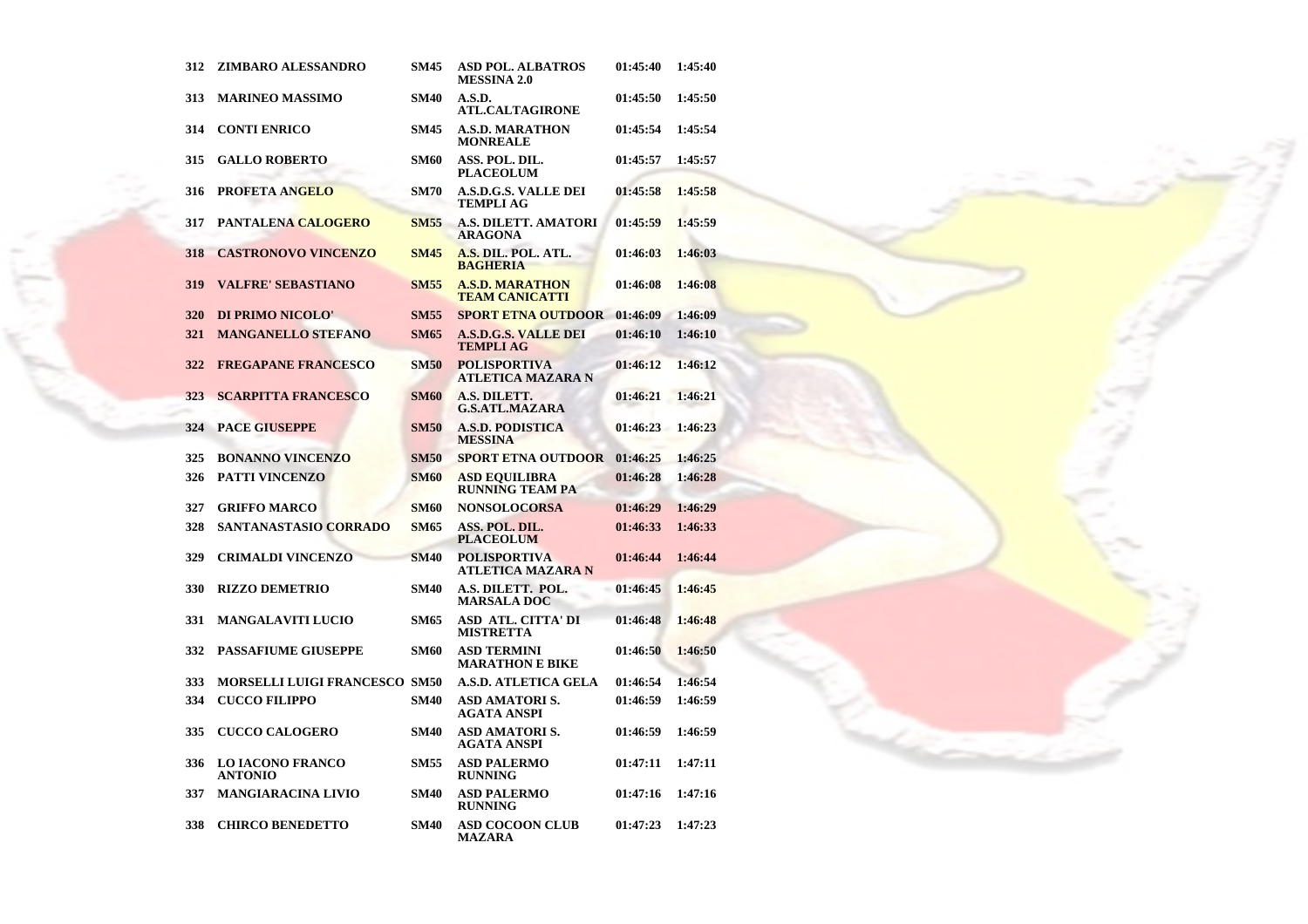| 312 | ZIMBARO ALESSANDRO                        | <b>SM45</b> | <b>ASD POL. ALBATROS</b><br><b>MESSINA 2.0</b>  | 01:45:40 | 1:45:40 |
|-----|-------------------------------------------|-------------|-------------------------------------------------|----------|---------|
| 313 | <b>MARINEO MASSIMO</b>                    | <b>SM40</b> | A.S.D.<br><b>ATL.CALTAGIRONE</b>                | 01:45:50 | 1:45:50 |
| 314 | <b>CONTI ENRICO</b>                       | <b>SM45</b> | <b>A.S.D. MARATHON</b><br><b>MONREALE</b>       | 01:45:54 | 1:45:54 |
| 315 | <b>GALLO ROBERTO</b>                      | <b>SM60</b> | ASS. POL. DIL.<br><b>PLACEOLUM</b>              | 01:45:57 | 1:45:57 |
| 316 | <b>PROFETA ANGELO</b>                     | <b>SM70</b> | <b>A.S.D.G.S. VALLE DEI</b><br>TEMPLI AG        | 01:45:58 | 1:45:58 |
| 317 | PANTALENA CALOGERO                        | <b>SM55</b> | <b>A.S. DILETT. AMATORI</b><br><b>ARAGONA</b>   | 01:45:59 | 1:45:59 |
| 318 | <b>CASTRONOVO VINCENZO</b>                | <b>SM45</b> | A.S. DIL. POL. ATL.<br><b>BAGHERIA</b>          | 01:46:03 | 1:46:03 |
| 319 | <b>VALFRE' SEBASTIANO</b>                 | <b>SM55</b> | <b>A.S.D. MARATHON</b><br><b>TEAM CANICATTI</b> | 01:46:08 | 1:46:08 |
| 320 | DI PRIMO NICOLO'                          | <b>SM55</b> | <b>SPORT ETNA OUTDOOR</b>                       | 01:46:09 | 1:46:09 |
| 321 | <b>MANGANELLO STEFANO</b>                 | <b>SM65</b> | <b>A.S.D.G.S. VALLE DEI</b><br><b>TEMPLI AG</b> | 01:46:10 | 1:46:10 |
| 322 | <b>FREGAPANE FRANCESCO</b>                | <b>SM50</b> | <b>POLISPORTIVA</b><br><b>ATLETICA MAZARA N</b> | 01:46:12 | 1:46:12 |
| 323 | <b>SCARPITTA FRANCESCO</b>                | <b>SM60</b> | A.S. DILETT.<br><b>G.S.ATL.MAZARA</b>           | 01:46:21 | 1:46:21 |
| 324 | <b>PACE GIUSEPPE</b>                      | <b>SM50</b> | <b>A.S.D. PODISTICA</b><br><b>MESSINA</b>       | 01:46:23 | 1:46:23 |
| 325 | <b>BONANNO VINCENZO</b>                   | <b>SM50</b> | <b>SPORT ETNA OUTDOOR</b>                       | 01:46:25 | 1:46:25 |
| 326 | <b>PATTI VINCENZO</b>                     | <b>SM60</b> | <b>ASD EQUILIBRA</b><br><b>RUNNING TEAM PA</b>  | 01:46:28 | 1:46:28 |
| 327 | <b>GRIFFO MARCO</b>                       | <b>SM60</b> | <b>NONSOLOCORSA</b>                             | 01:46:29 | 1:46:29 |
| 328 | SANTANASTASIO CORRADO                     | <b>SM65</b> | ASS. POL. DIL.<br><b>PLACEOLUM</b>              | 01:46:33 | 1:46:33 |
| 329 | <b>CRIMALDI VINCENZO</b>                  | <b>SM40</b> | <b>POLISPORTIVA</b><br><b>ATLETICA MAZARA N</b> | 01:46:44 | 1:46:44 |
| 330 | <b>RIZZO DEMETRIO</b>                     | <b>SM40</b> | A.S. DILETT. POL.<br><b>MARSALA DOC</b>         | 01:46:45 | 1:46:45 |
| 331 | <b>MANGALAVITI LUCIO</b>                  | <b>SM65</b> | <b>ASD ATL. CITTA' DI</b><br><b>MISTRETTA</b>   | 01:46:48 | 1:46:48 |
| 332 | <b>PASSAFIUME GIUSEPPE</b>                | <b>SM60</b> | <b>ASD TERMINI</b><br><b>MARATHON E BIKE</b>    | 01:46:50 | 1:46:50 |
| 333 | <b>MORSELLI LUIGI FRANCESCO SM50</b>      |             | <b>A.S.D. ATLETICA GELA</b>                     | 01:46:54 | 1:46:54 |
| 334 | <b>CUCCO FILIPPO</b>                      | <b>SM40</b> | <b>ASD AMATORIS.</b><br><b>AGATA ANSPI</b>      | 01:46:59 | 1:46:59 |
| 335 | <b>CUCCO CALOGERO</b>                     | <b>SM40</b> | <b>ASD AMATORIS.</b><br><b>AGATA ANSPI</b>      | 01:46:59 | 1:46:59 |
| 336 | <b>LO IACONO FRANCO</b><br><b>ANTONIO</b> | <b>SM55</b> | <b>ASD PALERMO</b><br><b>RUNNING</b>            | 01:47:11 | 1:47:11 |
| 337 | <b>MANGIARACINA LIVIO</b>                 | <b>SM40</b> | <b>ASD PALERMO</b><br><b>RUNNING</b>            | 01:47:16 | 1:47:16 |
| 338 | <b>CHIRCO BENEDETTO</b>                   | <b>SM40</b> | <b>ASD COCOON CLUB</b><br><b>MAZARA</b>         | 01:47:23 | 1:47:23 |

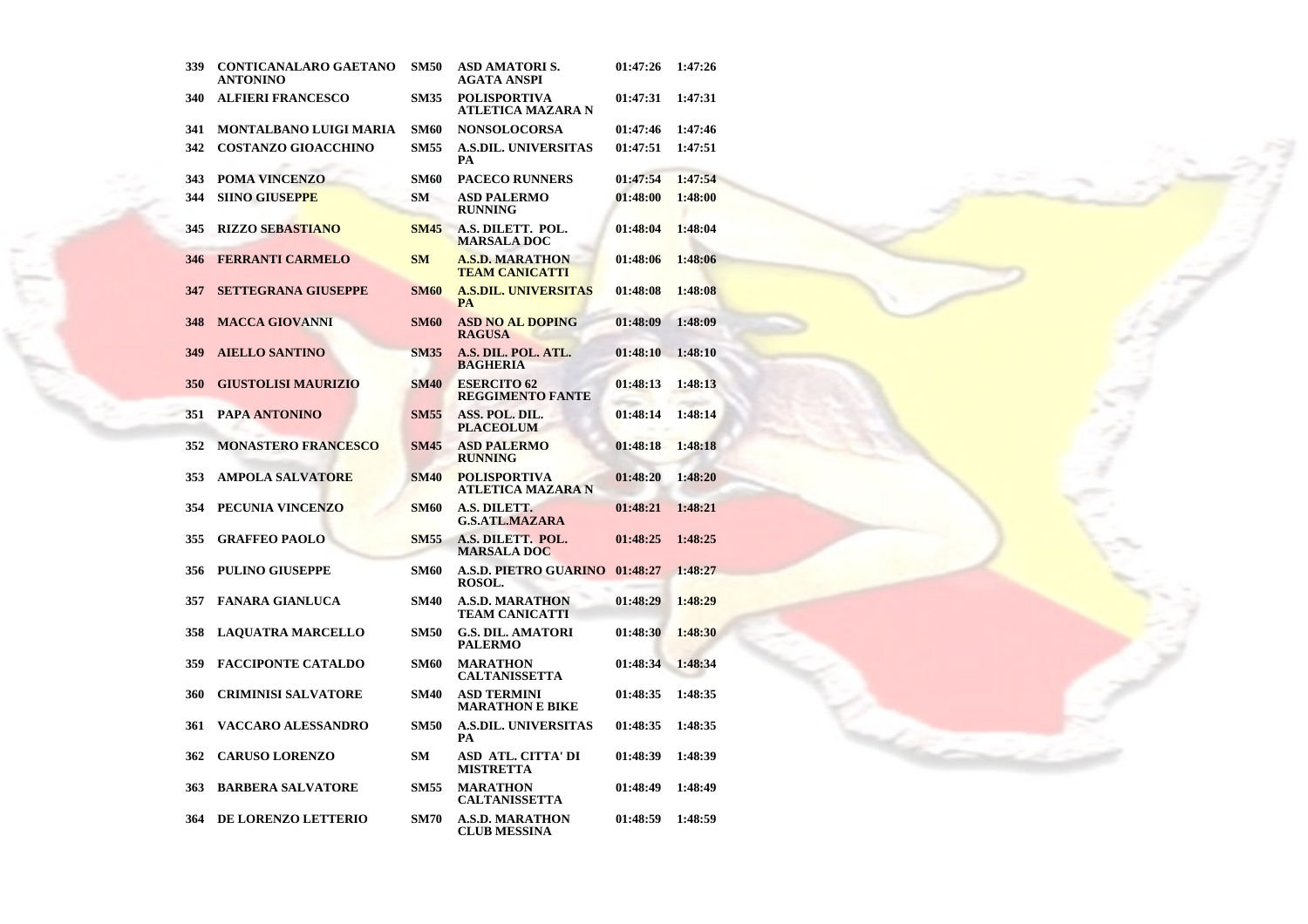| 339 | <b>CONTICANALARO GAETANO</b><br><b>ANTONINO</b> | <b>SM50</b> | ASD AMATORI S.<br>AGATA ANSPI                   | 01:47:26 | 1:47:26 |
|-----|-------------------------------------------------|-------------|-------------------------------------------------|----------|---------|
| 340 | <b>ALFIERI FRANCESCO</b>                        | <b>SM35</b> | <b>POLISPORTIVA</b><br>ATLETICA MAZARA N        | 01:47:31 | 1:47:31 |
| 341 | MONTALBANO LUIGI MARIA                          | <b>SM60</b> | <b>NONSOLOCORSA</b>                             | 01:47:46 | 1:47:46 |
| 342 | <b>COSTANZO GIOACCHINO</b>                      | <b>SM55</b> | <b>A.S.DIL. UNIVERSITAS</b><br>PA               | 01:47:51 | 1:47:51 |
| 343 | POMA VINCENZO                                   | <b>SM60</b> | <b>PACECO RUNNERS</b>                           | 01:47:54 | 1:47:54 |
| 344 | <b>SIINO GIUSEPPE</b>                           | <b>SM</b>   | <b>ASD PALERMO</b><br><b>RUNNING</b>            | 01:48:00 | 1:48:00 |
| 345 | <b>RIZZO SEBASTIANO</b>                         | <b>SM45</b> | A.S. DILETT. POL.<br><b>MARSALA DOC</b>         | 01:48:04 | 1:48:04 |
| 346 | <b>FERRANTI CARMELO</b>                         | <b>SM</b>   | <b>A.S.D. MARATHON</b><br><b>TEAM CANICATTI</b> | 01:48:06 | 1:48:06 |
| 347 | <b>SETTEGRANA GIUSEPPE</b>                      | <b>SM60</b> | <b>A.S.DIL. UNIVERSITAS</b><br><b>PA</b>        | 01:48:08 | 1:48:08 |
| 348 | <b>MACCA GIOVANNI</b>                           | <b>SM60</b> | <b>ASD NO AL DOPING</b><br><b>RAGUSA</b>        | 01:48:09 | 1:48:09 |
| 349 | <b>AIELLO SANTINO</b>                           | <b>SM35</b> | A.S. DIL. POL. ATL.<br><b>BAGHERIA</b>          | 01:48:10 | 1:48:10 |
| 350 | <b>GIUSTOLISI MAURIZIO</b>                      | <b>SM40</b> | <b>ESERCITO 62</b><br><b>REGGIMENTO FANTE</b>   | 01:48:13 | 1:48:13 |
| 351 | PAPA ANTONINO                                   | <b>SM55</b> | ASS. POL. DIL.<br><b>PLACEOLUM</b>              | 01:48:14 | 1:48:14 |
| 352 | <b>MONASTERO FRANCESCO</b>                      | <b>SM45</b> | <b>ASD PALERMO</b><br><b>RUNNING</b>            | 01:48:18 | 1:48:18 |
| 353 | <b>AMPOLA SALVATORE</b>                         | <b>SM40</b> | <b>POLISPORTIVA</b><br><b>ATLETICA MAZARA N</b> | 01:48:20 | 1:48:20 |
| 354 | PECUNIA VINCENZO                                | <b>SM60</b> | A.S. DILETT.<br><b>G.S.ATL.MAZARA</b>           | 01:48:21 | 1:48:21 |
| 355 | <b>GRAFFEO PAOLO</b>                            | <b>SM55</b> | A.S. DILETT. POL.<br><b>MARSALA DOC</b>         | 01:48:25 | 1:48:25 |
| 356 | <b>PULINO GIUSEPPE</b>                          | <b>SM60</b> | <b>A.S.D. PIETRO GUARINO</b><br>ROSOL.          | 01:48:27 | 1:48:27 |
| 357 | <b>FANARA GIANLUCA</b>                          | <b>SM40</b> | <b>A.S.D. MARATHON</b><br><b>TEAM CANICATTI</b> | 01:48:29 | 1:48:29 |
| 358 | <b>LAQUATRA MARCELLO</b>                        | <b>SM50</b> | <b>G.S. DIL. AMATORI</b><br><b>PALERMO</b>      | 01:48:30 | 1:48:30 |
| 359 | <b>FACCIPONTE CATALDO</b>                       | <b>SM60</b> | <b>MARATHON</b><br><b>CALTANISSETTA</b>         | 01:48:34 | 1:48:34 |
| 360 | CRIMINISI SALVATORE                             | <b>SM40</b> | <b>ASD TERMINI</b><br><b>MARATHON E BIKE</b>    | 01:48:35 | 1:48:35 |
| 361 | VACCARO ALESSANDRO                              | <b>SM50</b> | <b>A.S.DIL. UNIVERSITAS</b><br>PA               | 01:48:35 | 1:48:35 |
| 362 | <b>CARUSO LORENZO</b>                           | <b>SM</b>   | ASD ATL. CITTA' DI<br><b>MISTRETTA</b>          | 01:48:39 | 1:48:39 |
| 363 | <b>BARBERA SALVATORE</b>                        | <b>SM55</b> | <b>MARATHON</b><br><b>CALTANISSETTA</b>         | 01:48:49 | 1:48:49 |
| 364 | <b>DE LORENZO LETTERIO</b>                      | <b>SM70</b> | <b>A.S.D. MARATHON</b><br>CLUB MESSINA          | 01:48:59 | 1:48:59 |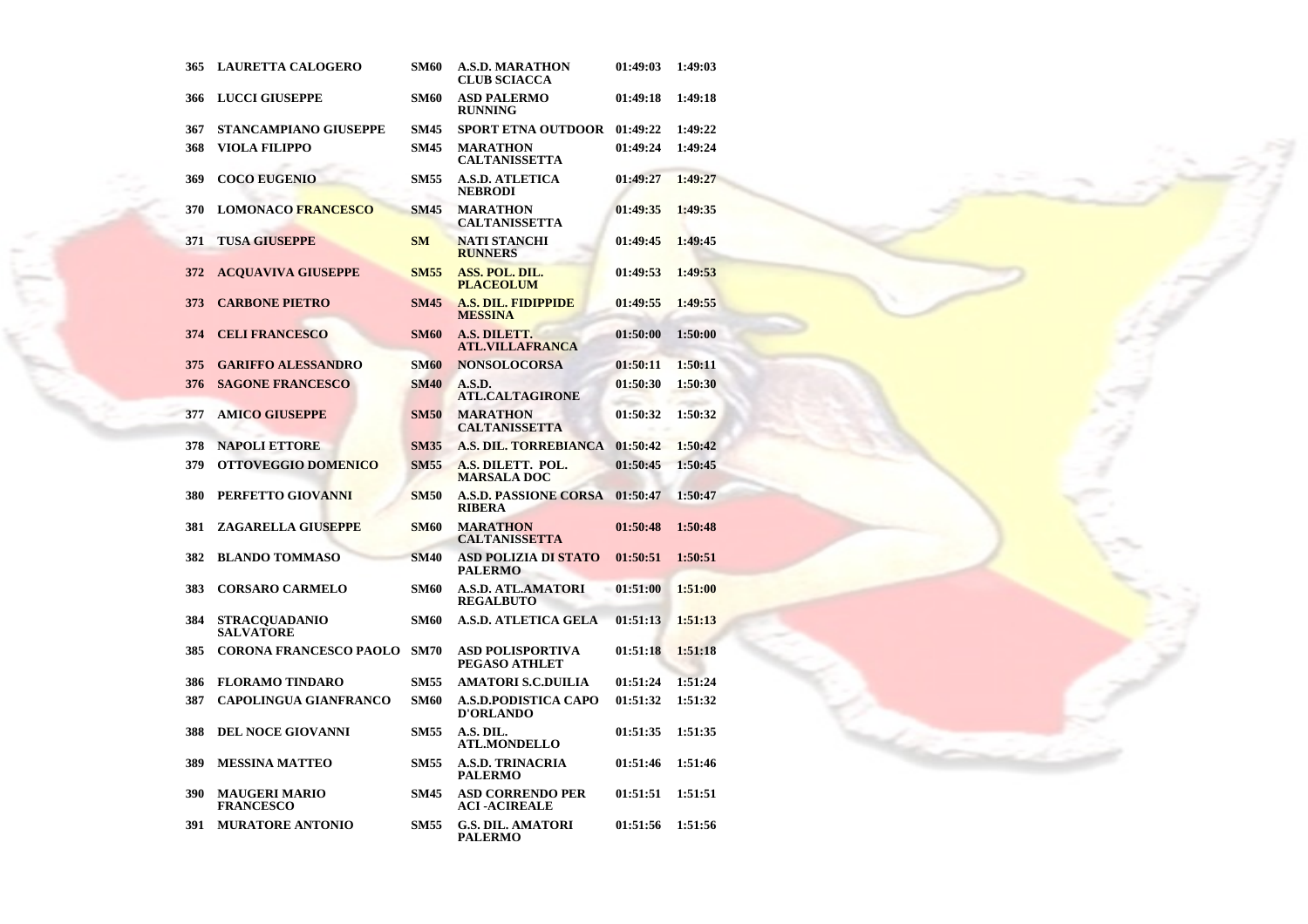| 365 | <b>LAURETTA CALOGERO</b>                 | <b>SM60</b> | A.S.D. MARATHON<br><b>CLUB SCIACCA</b>          | 01:49:03 | 1:49:03 |
|-----|------------------------------------------|-------------|-------------------------------------------------|----------|---------|
| 366 | <b>LUCCI GIUSEPPE</b>                    | <b>SM60</b> | <b>ASD PALERMO</b><br><b>RUNNING</b>            | 01:49:18 | 1:49:18 |
| 367 | <b>STANCAMPIANO GIUSEPPE</b>             | <b>SM45</b> | <b>SPORT ETNA OUTDOOR</b>                       | 01:49:22 | 1:49:22 |
| 368 | <b>VIOLA FILIPPO</b>                     | <b>SM45</b> | <b>MARATHON</b><br><b>CALTANISSETTA</b>         | 01:49:24 | 1:49:24 |
| 369 | <b>COCO EUGENIO</b>                      | <b>SM55</b> | <b>A.S.D. ATLETICA</b><br><b>NEBRODI</b>        | 01:49:27 | 1:49:27 |
| 370 | <b>LOMONACO FRANCESCO</b>                | <b>SM45</b> | <b>MARATHON</b><br><b>CALTANISSETTA</b>         | 01:49:35 | 1:49:35 |
| 371 | <b>TUSA GIUSEPPE</b>                     | <b>SM</b>   | <b>NATI STANCHI</b><br><b>RUNNERS</b>           | 01:49:45 | 1:49:45 |
| 372 | <b>ACQUAVIVA GIUSEPPE</b>                | <b>SM55</b> | ASS. POL. DIL.<br><b>PLACEOLUM</b>              | 01:49:53 | 1:49:53 |
| 373 | <b>CARBONE PIETRO</b>                    | <b>SM45</b> | <b>A.S. DIL. FIDIPPIDE</b><br><b>MESSINA</b>    | 01:49:55 | 1:49:55 |
| 374 | <b>CELI FRANCESCO</b>                    | <b>SM60</b> | A.S. DILETT.<br><b>ATL.VILLAFRANCA</b>          | 01:50:00 | 1:50:00 |
| 375 | <b>GARIFFO ALESSANDRO</b>                | <b>SM60</b> | <b>NONSOLOCORSA</b>                             | 01:50:11 | 1:50:11 |
| 376 | <b>SAGONE FRANCESCO</b>                  | <b>SM40</b> | A.S.D.<br><b>ATL.CALTAGIRONE</b>                | 01:50:30 | 1:50:30 |
| 377 | <b>AMICO GIUSEPPE</b>                    | <b>SM50</b> | <b>MARATHON</b><br><b>CALTANISSETTA</b>         | 01:50:32 | 1:50:32 |
| 378 | <b>NAPOLI ETTORE</b>                     | <b>SM35</b> | <b>A.S. DIL. TORREBIANCA</b>                    | 01:50:42 | 1:50:42 |
| 379 | <b>OTTOVEGGIO DOMENICO</b>               | <b>SM55</b> | A.S. DILETT. POL.<br><b>MARSALA DOC</b>         | 01:50:45 | 1:50:45 |
| 380 | PERFETTO GIOVANNI                        | <b>SM50</b> | <b>A.S.D. PASSIONE CORSA</b><br><b>RIBERA</b>   | 01:50:47 | 1:50:47 |
| 381 | ZAGARELLA GIUSEPPE                       | <b>SM60</b> | <b>MARATHON</b><br><b>CALTANISSETTA</b>         | 01:50:48 | 1:50:48 |
| 382 | <b>BLANDO TOMMASO</b>                    | <b>SM40</b> | <b>ASD POLIZIA DI STATO</b><br><b>PALERMO</b>   | 01:50:51 | 1:50:51 |
| 383 | <b>CORSARO CARMELO</b>                   | <b>SM60</b> | <b>A.S.D. ATL.AMATORI</b><br><b>REGALBUTO</b>   | 01:51:00 | 1:51:00 |
| 384 | <b>STRACQUADANIO</b><br><b>SALVATORE</b> | <b>SM60</b> | <b>A.S.D. ATLETICA GELA</b>                     | 01:51:13 | 1:51:13 |
| 385 | <b>CORONA FRANCESCO PAOLO</b>            | <b>SM70</b> | ASD POLISPORTIVA<br>PEGASO ATHLET               | 01:51:18 | 1:51:18 |
| 386 | <b>FLORAMO TINDARO</b>                   | <b>SM55</b> | <b>AMATORI S.C.DUILIA</b>                       | 01:51:24 | 1:51:24 |
| 387 | <b>CAPOLINGUA GIANFRANCO</b>             | <b>SM60</b> | <b>A.S.D.PODISTICA CAPO</b><br><b>D'ORLANDO</b> | 01:51:32 | 1:51:32 |
| 388 | <b>DEL NOCE GIOVANNI</b>                 | <b>SM55</b> | A.S. DIL.<br><b>ATL.MONDELLO</b>                | 01:51:35 | 1:51:35 |
| 389 | <b>MESSINA MATTEO</b>                    | <b>SM55</b> | <b>A.S.D. TRINACRIA</b><br><b>PALERMO</b>       | 01:51:46 | 1:51:46 |
| 390 | <b>MAUGERI MARIO</b><br><b>FRANCESCO</b> | <b>SM45</b> | <b>ASD CORRENDO PER</b><br><b>ACI -ACIREALE</b> | 01:51:51 | 1:51:51 |
| 391 | <b>MURATORE ANTONIO</b>                  | <b>SM55</b> | <b>G.S. DIL. AMATORI</b><br><b>PALERMO</b>      | 01:51:56 | 1:51:56 |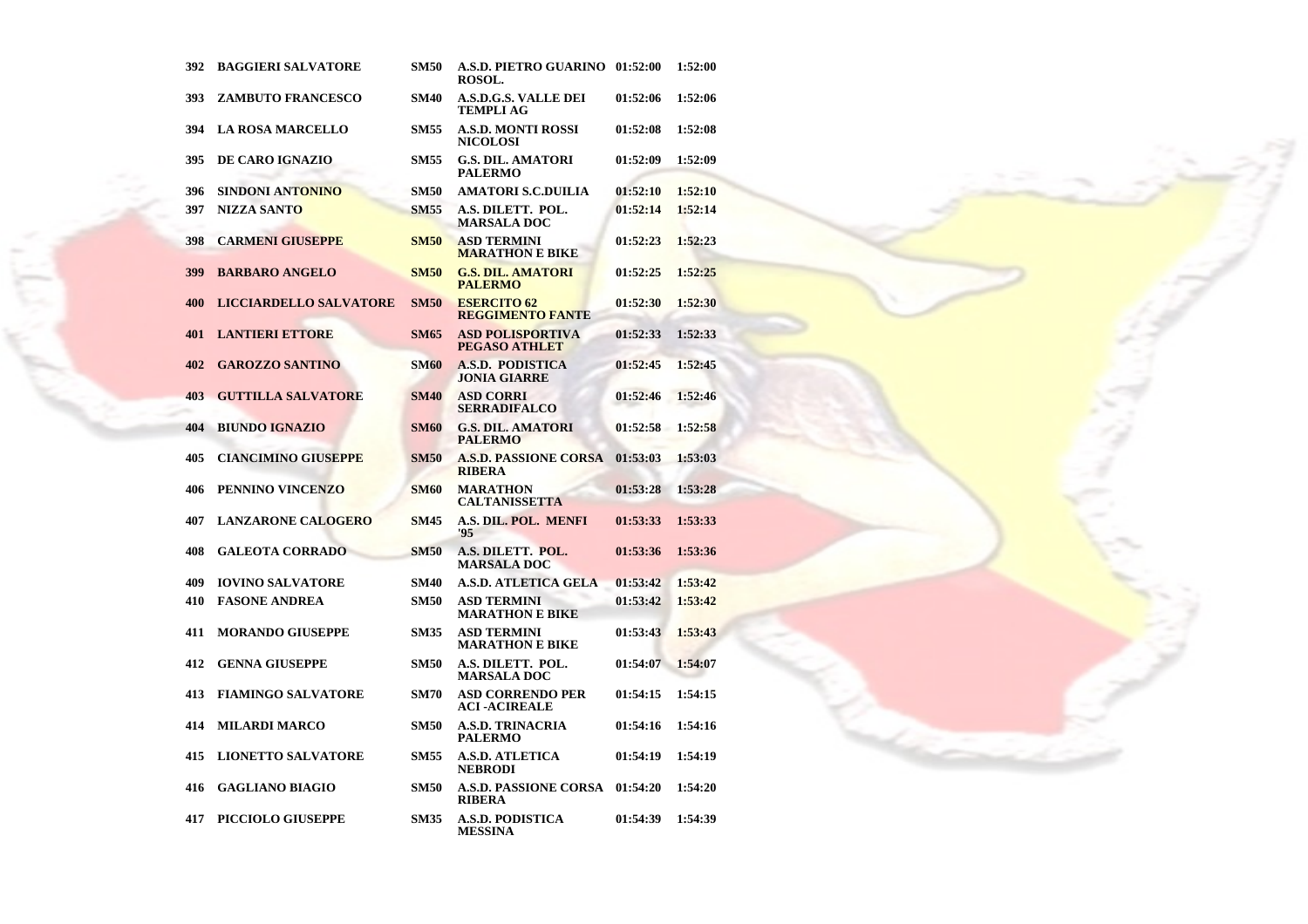| 392 | <b>BAGGIERI SALVATORE</b>     | <b>SM50</b> | A.S.D. PIETRO GUARINO 01:52:00<br><b>ROSOL.</b> |          | 1:52:00 |
|-----|-------------------------------|-------------|-------------------------------------------------|----------|---------|
| 393 | <b>ZAMBUTO FRANCESCO</b>      | <b>SM40</b> | A.S.D.G.S. VALLE DEI<br><b>TEMPLI AG</b>        | 01:52:06 | 1:52:06 |
| 394 | <b>LA ROSA MARCELLO</b>       | <b>SM55</b> | <b>A.S.D. MONTI ROSSI</b><br><b>NICOLOSI</b>    | 01:52:08 | 1:52:08 |
| 395 | DE CARO IGNAZIO               | <b>SM55</b> | <b>G.S. DIL. AMATORI</b><br><b>PALERMO</b>      | 01:52:09 | 1:52:09 |
| 396 | SINDONI ANTONINO              | <b>SM50</b> | <b>AMATORI S.C.DUILIA</b>                       | 01:52:10 | 1:52:10 |
| 397 | <b>NIZZA SANTO</b>            | <b>SM55</b> | A.S. DILETT. POL.<br><b>MARSALA DOC</b>         | 01:52:14 | 1:52:14 |
| 398 | <b>CARMENI GIUSEPPE</b>       | <b>SM50</b> | <b>ASD TERMINI</b><br><b>MARATHON E BIKE</b>    | 01:52:23 | 1:52:23 |
| 399 | <b>BARBARO ANGELO</b>         | <b>SM50</b> | <b>G.S. DIL. AMATORI</b><br><b>PALERMO</b>      | 01:52:25 | 1:52:25 |
| 400 | <b>LICCIARDELLO SALVATORE</b> | <b>SM50</b> | <b>ESERCITO 62</b><br><b>REGGIMENTO FANTE</b>   | 01:52:30 | 1:52:30 |
| 401 | <b>LANTIERI ETTORE</b>        | <b>SM65</b> | <b>ASD POLISPORTIVA</b><br>PEGASO ATHLET        | 01:52:33 | 1:52:33 |
| 402 | <b>GAROZZO SANTINO</b>        | <b>SM60</b> | <b>A.S.D. PODISTICA</b><br><b>JONIA GIARRE</b>  | 01:52:45 | 1:52:45 |
| 403 | <b>GUTTILLA SALVATORE</b>     | <b>SM40</b> | <b>ASD CORRI</b><br><b>SERRADIFALCO</b>         | 01:52:46 | 1:52:46 |
| 404 | <b>BIUNDO IGNAZIO</b>         | <b>SM60</b> | <b>G.S. DIL. AMATORI</b><br><b>PALERMO</b>      | 01:52:58 | 1:52:58 |
| 405 | <b>CIANCIMINO GIUSEPPE</b>    | <b>SM50</b> | <b>A.S.D. PASSIONE CORSA</b><br><b>RIBERA</b>   | 01:53:03 | 1:53:03 |
| 406 | PENNINO VINCENZO              | <b>SM60</b> | <b>MARATHON</b><br><b>CALTANISSETTA</b>         | 01:53:28 | 1:53:28 |
| 407 | <b>LANZARONE CALOGERO</b>     | <b>SM45</b> | A.S. DIL. POL. MENFI<br>'95                     | 01:53:33 | 1:53:33 |
| 408 | <b>GALEOTA CORRADO</b>        | <b>SM50</b> | A.S. DILETT. POL.<br><b>MARSALA DOC</b>         | 01:53:36 | 1:53:36 |
| 409 | <b>IOVINO SALVATORE</b>       | <b>SM40</b> | <b>A.S.D. ATLETICA GELA</b>                     | 01:53:42 | 1:53:42 |
| 410 | <b>FASONE ANDREA</b>          | <b>SM50</b> | <b>ASD TERMINI</b><br><b>MARATHON E BIKE</b>    | 01:53:42 | 1:53:42 |
| 411 | <b>MORANDO GIUSEPPE</b>       | <b>SM35</b> | <b>ASD TERMINI</b><br><b>MARATHON E BIKE</b>    | 01:53:43 | 1:53:43 |
| 412 | <b>GENNA GIUSEPPE</b>         | <b>SM50</b> | A.S. DILETT. POL.<br><b>MARSALA DOC</b>         | 01:54:07 | 1:54:07 |
| 413 | <b>FIAMINGO SALVATORE</b>     | <b>SM70</b> | <b>ASD CORRENDO PER</b><br><b>ACI-ACIREALE</b>  | 01:54:15 | 1:54:15 |
| 414 | <b>MILARDI MARCO</b>          | <b>SM50</b> | <b>A.S.D. TRINACRIA</b><br><b>PALERMO</b>       | 01:54:16 | 1:54:16 |
| 415 | <b>LIONETTO SALVATORE</b>     | <b>SM55</b> | <b>A.S.D. ATLETICA</b><br><b>NEBRODI</b>        | 01:54:19 | 1:54:19 |
| 416 | <b>GAGLIANO BIAGIO</b>        | <b>SM50</b> | <b>A.S.D. PASSIONE CORSA</b><br><b>RIBERA</b>   | 01:54:20 | 1:54:20 |
| 417 | <b>PICCIOLO GIUSEPPE</b>      | <b>SM35</b> | A.S.D. PODISTICA<br><b>MESSINA</b>              | 01:54:39 | 1:54:39 |

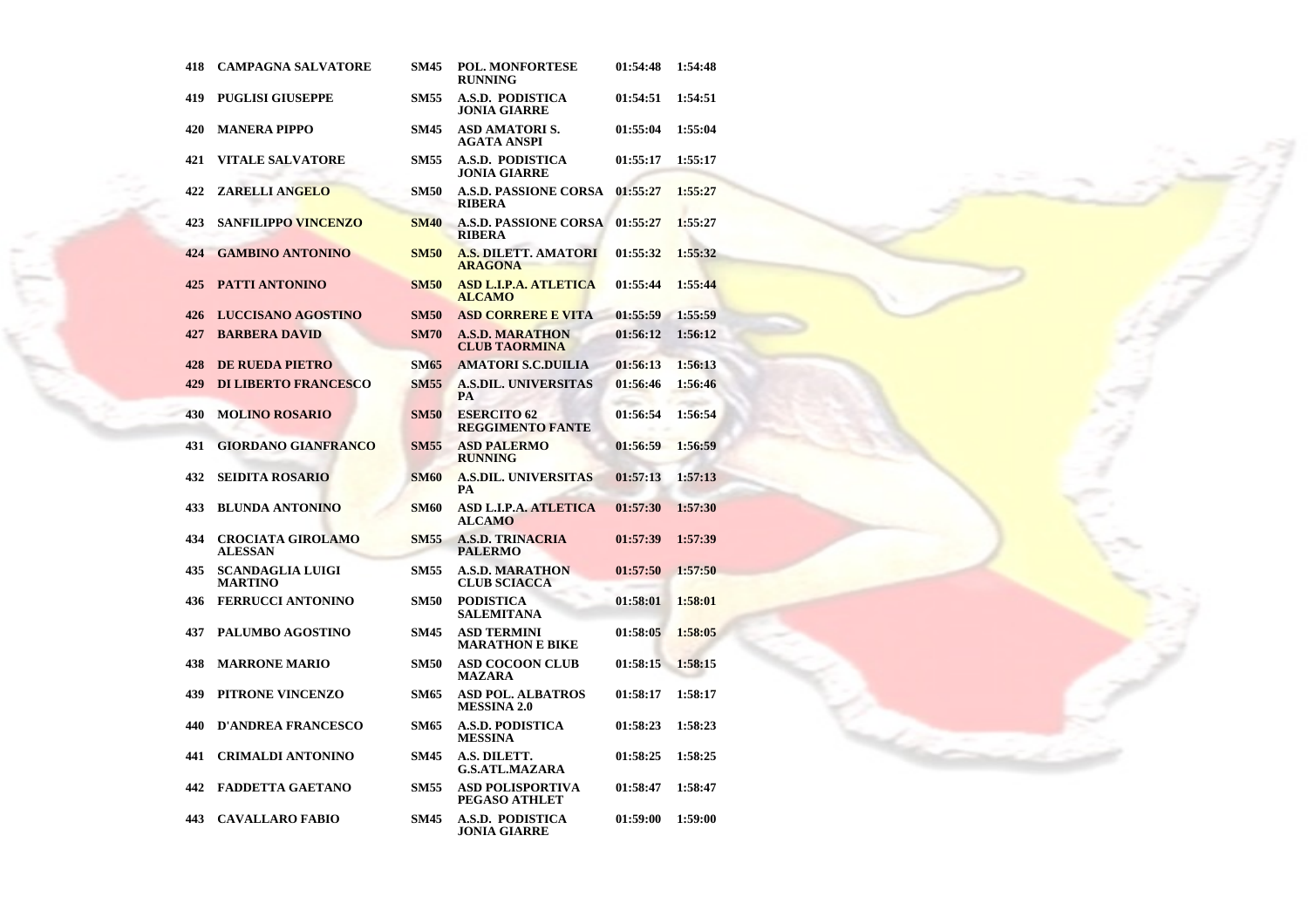| 418 | <b>CAMPAGNA SALVATORE</b>                  | <b>SM45</b> | <b>POL. MONFORTESE</b><br><b>RUNNING</b>       | 01:54:48 | 1:54:48 |
|-----|--------------------------------------------|-------------|------------------------------------------------|----------|---------|
| 419 | <b>PUGLISI GIUSEPPE</b>                    | <b>SM55</b> | A.S.D. PODISTICA<br>JONIA GIARRE               | 01:54:51 | 1:54:51 |
| 420 | <b>MANERA PIPPO</b>                        | <b>SM45</b> | ASD AMATORI S.<br>AGATA ANSPI                  | 01:55:04 | 1:55:04 |
| 421 | <b>VITALE SALVATORE</b>                    | <b>SM55</b> | A.S.D. PODISTICA<br>JONIA GIARRE               | 01:55:17 | 1:55:17 |
| 422 | <b>ZARELLI ANGELO</b>                      | <b>SM50</b> | <b>A.S.D. PASSIONE CORSA</b><br><b>RIBERA</b>  | 01:55:27 | 1:55:27 |
| 423 | <b>SANFILIPPO VINCENZO</b>                 | <b>SM40</b> | A.S.D. PASSIONE CORSA<br><b>RIBERA</b>         | 01:55:27 | 1:55:27 |
| 424 | <b>GAMBINO ANTONINO</b>                    | <b>SM50</b> | <b>A.S. DILETT. AMATORI</b><br><b>ARAGONA</b>  | 01:55:32 | 1:55:32 |
| 425 | <b>PATTI ANTONINO</b>                      | <b>SM50</b> | <b>ASD L.I.P.A. ATLETICA</b><br><b>ALCAMO</b>  | 01:55:44 | 1:55:44 |
| 426 | <b>LUCCISANO AGOSTINO</b>                  | <b>SM50</b> | <b>ASD CORRERE E VITA</b>                      | 01:55:59 | 1:55:59 |
| 427 | <b>BARBERA DAVID</b>                       | <b>SM70</b> | <b>A.S.D. MARATHON</b><br><b>CLUB TAORMINA</b> | 01:56:12 | 1:56:12 |
| 428 | <b>DE RUEDA PIETRO</b>                     | <b>SM65</b> | <b>AMATORI S.C.DUILIA</b>                      | 01:56:13 | 1:56:13 |
| 429 | <b>DI LIBERTO FRANCESCO</b>                | <b>SM55</b> | <b>A.S.DIL. UNIVERSITAS</b><br>PA              | 01:56:46 | 1:56:46 |
| 430 | <b>MOLINO ROSARIO</b>                      | <b>SM50</b> | <b>ESERCITO 62</b><br><b>REGGIMENTO FANTE</b>  | 01:56:54 | 1:56:54 |
| 431 | <b>GIORDANO GIANFRANCO</b>                 | <b>SM55</b> | <b>ASD PALERMO</b><br><b>RUNNING</b>           | 01:56:59 | 1:56:59 |
| 432 | <b>SEIDITA ROSARIO</b>                     | <b>SM60</b> | <b>A.S.DIL. UNIVERSITAS</b><br>PА              | 01:57:13 | 1:57:13 |
| 433 | <b>BLUNDA ANTONINO</b>                     | <b>SM60</b> | <b>ASD L.I.P.A. ATLETICA</b><br><b>ALCAMO</b>  | 01:57:30 | 1:57:30 |
| 434 | <b>CROCIATA GIROLAMO</b><br><b>ALESSAN</b> | <b>SM55</b> | <b>A.S.D. TRINACRIA</b><br><b>PALERMO</b>      | 01:57:39 | 1:57:39 |
| 435 | <b>SCANDAGLIA LUIGI</b><br><b>MARTINO</b>  | <b>SM55</b> | <b>A.S.D. MARATHON</b><br><b>CLUB SCIACCA</b>  | 01:57:50 | 1:57:50 |
| 436 | <b>FERRUCCI ANTONINO</b>                   | <b>SM50</b> | <b>PODISTICA</b><br>SALEMITANA                 | 01:58:01 | 1:58:01 |
| 437 | <b>PALUMBO AGOSTINO</b>                    | <b>SM45</b> | <b>ASD TERMINI</b><br><b>MARATHON E BIKE</b>   | 01:58:05 | 1:58:05 |
| 438 | <b>MARRONE MARIO</b>                       | <b>SM50</b> | <b>ASD COCOON CLUB</b><br>MAZARA               | 01:58:15 | 1:58:15 |
| 439 | PITRONE VINCENZO                           | <b>SM65</b> | <b>ASD POL. ALBATROS</b><br><b>MESSINA 2.0</b> | 01:58:17 | 1:58:17 |
| 440 | <b>D'ANDREA FRANCESCO</b>                  | <b>SM65</b> | <b>A.S.D. PODISTICA</b><br><b>MESSINA</b>      | 01:58:23 | 1:58:23 |
| 441 | <b>CRIMALDI ANTONINO</b>                   | <b>SM45</b> | A.S. DILETT.<br><b>G.S.ATL.MAZARA</b>          | 01:58:25 | 1:58:25 |
| 442 | <b>FADDETTA GAETANO</b>                    | <b>SM55</b> | <b>ASD POLISPORTIVA</b><br>PEGASO ATHLET       | 01:58:47 | 1:58:47 |
| 443 | <b>CAVALLARO FABIO</b>                     | SM45        | A.S.D. PODISTICA<br><b>JONIA GIARRE</b>        | 01:59:00 | 1:59:00 |

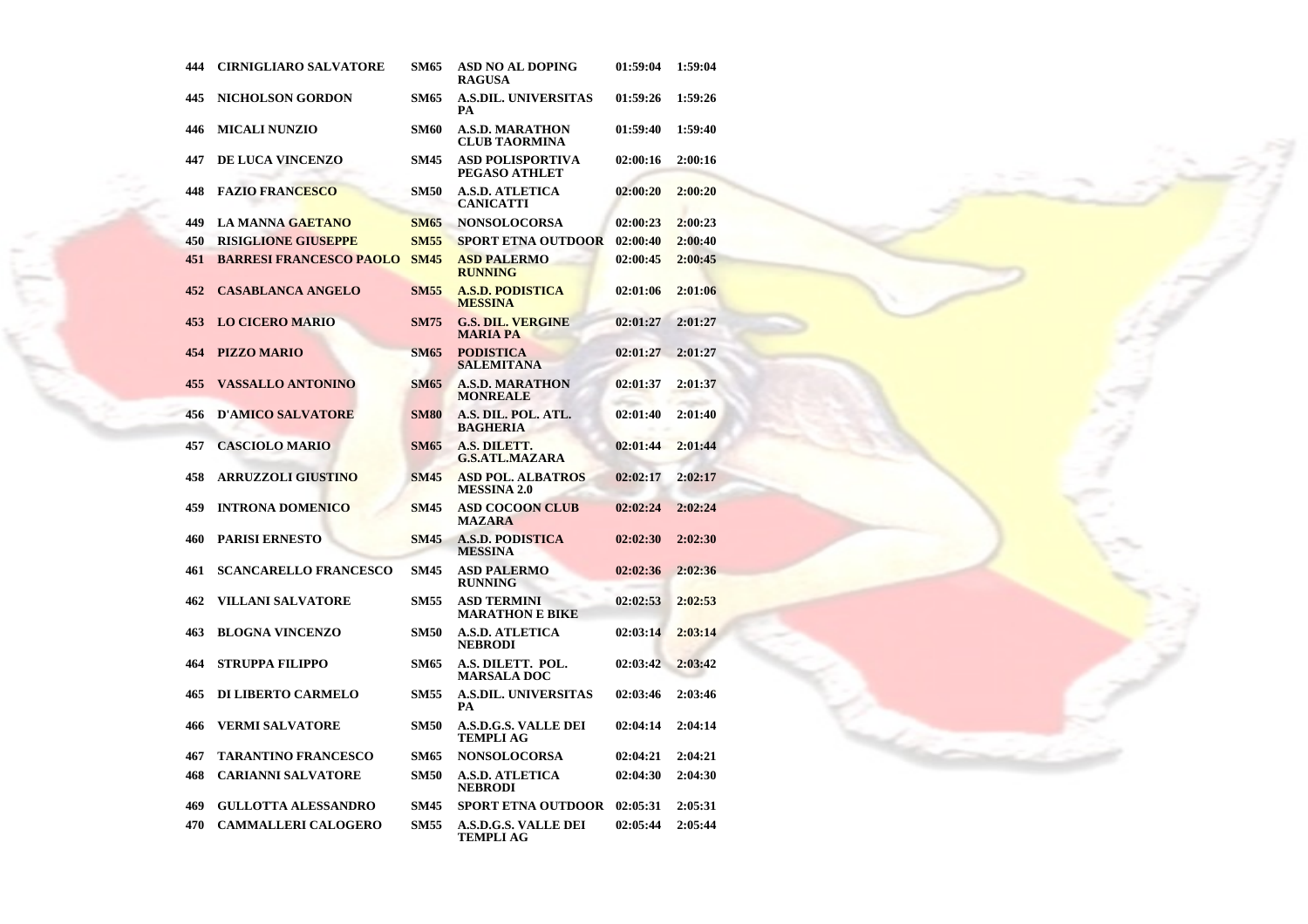| 444 | <b>CIRNIGLIARO SALVATORE</b>   | <b>SM65</b> | <b>ASD NO AL DOPING</b><br><b>RAGUSA</b>       | 01:59:04 | 1:59:04 |
|-----|--------------------------------|-------------|------------------------------------------------|----------|---------|
| 445 | <b>NICHOLSON GORDON</b>        | <b>SM65</b> | <b>A.S.DIL. UNIVERSITAS</b><br>PА              | 01:59:26 | 1:59:26 |
| 446 | <b>MICALI NUNZIO</b>           | <b>SM60</b> | <b>A.S.D. MARATHON</b><br><b>CLUB TAORMINA</b> | 01:59:40 | 1:59:40 |
| 447 | DE LUCA VINCENZO               | <b>SM45</b> | <b>ASD POLISPORTIVA</b><br>PEGASO ATHLET       | 02:00:16 | 2:00:16 |
| 448 | <b>FAZIO FRANCESCO</b>         | <b>SM50</b> | <b>A.S.D. ATLETICA</b><br><b>CANICATTI</b>     | 02:00:20 | 2:00:20 |
| 449 | <b>LA MANNA GAETANO</b>        | <b>SM65</b> | <b>NONSOLOCORSA</b>                            | 02:00:23 | 2:00:23 |
| 450 | <b>RISIGLIONE GIUSEPPE</b>     | <b>SM55</b> | <b>SPORT ETNA OUTDOOR</b>                      | 02:00:40 | 2:00:40 |
| 451 | <b>BARRESI FRANCESCO PAOLO</b> | <b>SM45</b> | <b>ASD PALERMO</b><br><b>RUNNING</b>           | 02:00:45 | 2:00:45 |
| 452 | <b>CASABLANCA ANGELO</b>       | <b>SM55</b> | <b>A.S.D. PODISTICA</b><br><b>MESSINA</b>      | 02:01:06 | 2:01:06 |
| 453 | <b>LO CICERO MARIO</b>         | <b>SM75</b> | <b>G.S. DIL. VERGINE</b><br><b>MARIA PA</b>    | 02:01:27 | 2:01:27 |
| 454 | <b>PIZZO MARIO</b>             | <b>SM65</b> | <b>PODISTICA</b><br><b>SALEMITANA</b>          | 02:01:27 | 2:01:27 |
| 455 | <b>VASSALLO ANTONINO</b>       | <b>SM65</b> | <b>A.S.D. MARATHON</b><br><b>MONREALE</b>      | 02:01:37 | 2:01:37 |
| 456 | <b>D'AMICO SALVATORE</b>       | <b>SM80</b> | A.S. DIL. POL. ATL.<br><b>BAGHERIA</b>         | 02:01:40 | 2:01:40 |
| 457 | <b>CASCIOLO MARIO</b>          | <b>SM65</b> | A.S. DILETT.<br><b>G.S.ATL.MAZARA</b>          | 02:01:44 | 2:01:44 |
| 458 | <b>ARRUZZOLI GIUSTINO</b>      | <b>SM45</b> | <b>ASD POL. ALBATROS</b><br><b>MESSINA 2.0</b> | 02:02:17 | 2:02:17 |
| 459 | <b>INTRONA DOMENICO</b>        | <b>SM45</b> | <b>ASD COCOON CLUB</b><br><b>MAZARA</b>        | 02:02:24 | 2:02:24 |
| 460 | <b>PARISI ERNESTO</b>          | <b>SM45</b> | <b>A.S.D. PODISTICA</b><br><b>MESSINA</b>      | 02:02:30 | 2:02:30 |
| 461 | <b>SCANCARELLO FRANCESCO</b>   | <b>SM45</b> | <b>ASD PALERMO</b><br><b>RUNNING</b>           | 02:02:36 | 2:02:36 |
| 462 | VILLANI SALVATORE              | <b>SM55</b> | <b>ASD TERMINI</b><br><b>MARATHON E BIKE</b>   | 02:02:53 | 2:02:53 |
| 463 | <b>BLOGNA VINCENZO</b>         | <b>SM50</b> | A.S.D. ATLETICA<br><b>NEBRODI</b>              | 02:03:14 | 2:03:14 |
| 464 | <b>STRUPPA FILIPPO</b>         | SM65        | A.S. DILETT. POL.<br><b>MARSALA DOC</b>        | 02:03:42 | 2:03:42 |
| 465 | <b>DI LIBERTO CARMELO</b>      | <b>SM55</b> | <b>A.S.DIL. UNIVERSITAS</b><br>PА              | 02:03:46 | 2:03:46 |
| 466 | VERMI SALVATORE                | <b>SM50</b> | A.S.D.G.S. VALLE DEI<br><b>TEMPLI AG</b>       | 02:04:14 | 2:04:14 |
| 467 | <b>TARANTINO FRANCESCO</b>     | <b>SM65</b> | <b>NONSOLOCORSA</b>                            | 02:04:21 | 2:04:21 |
| 468 | <b>CARIANNI SALVATORE</b>      | <b>SM50</b> | A.S.D. ATLETICA<br><b>NEBRODI</b>              | 02:04:30 | 2:04:30 |
| 469 | <b>GULLOTTA ALESSANDRO</b>     | <b>SM45</b> | SPORT ETNA OUTDOOR                             | 02:05:31 | 2:05:31 |
| 470 | <b>CAMMALLERI CALOGERO</b>     | <b>SM55</b> | <b>A.S.D.G.S. VALLE DEI</b><br>TEMPLI AG       | 02:05:44 | 2:05:44 |

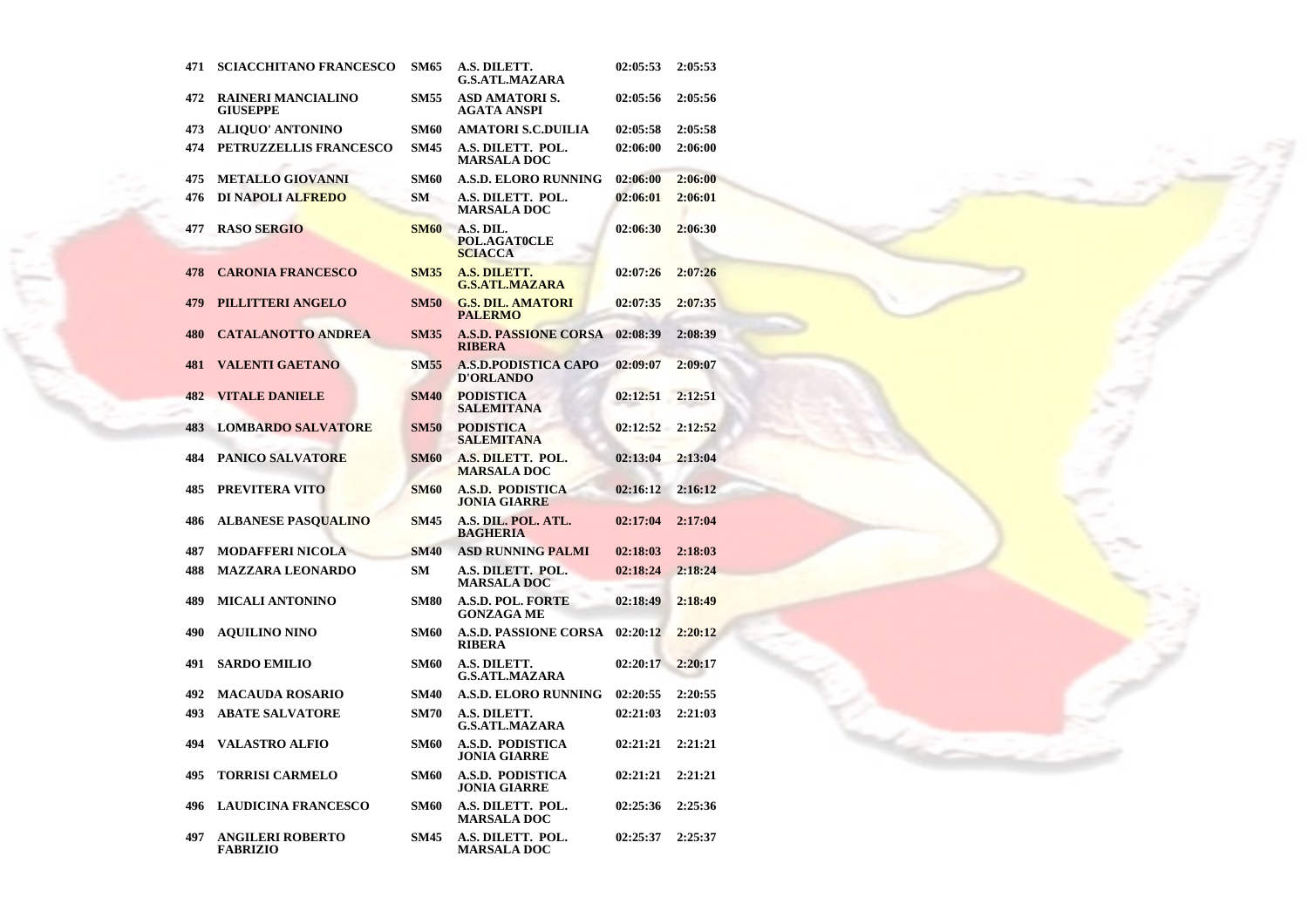| 471 | <b>SCIACCHITANO FRANCESCO</b>                | SM65        | A.S. DILETT.<br><b>G.S.ATL.MAZARA</b>           | 02:05:53 | 2:05:53 |
|-----|----------------------------------------------|-------------|-------------------------------------------------|----------|---------|
| 472 | <b>RAINERI MANCIALINO</b><br><b>GIUSEPPE</b> | <b>SM55</b> | <b>ASD AMATORIS.</b><br>AGATA ANSPI             | 02:05:56 | 2:05:56 |
| 473 | <b>ALIQUO' ANTONINO</b>                      | <b>SM60</b> | AMATORI S.C.DUILIA                              | 02:05:58 | 2:05:58 |
| 474 | PETRUZZELLIS FRANCESCO                       | <b>SM45</b> | A.S. DILETT. POL.<br><b>MARSALA DOC</b>         | 02:06:00 | 2:06:00 |
| 475 | <b>METALLO GIOVANNI</b>                      | <b>SM60</b> | <b>A.S.D. ELORO RUNNING</b>                     | 02:06:00 | 2:06:00 |
| 476 | DI NAPOLI ALFREDO                            | SM          | A.S. DILETT. POL.<br><b>MARSALA DOC</b>         | 02:06:01 | 2:06:01 |
| 477 | <b>RASO SERGIO</b>                           | <b>SM60</b> | A.S. DIL.<br>POL.AGAT0CLE<br><b>SCIACCA</b>     | 02:06:30 | 2:06:30 |
| 478 | <b>CARONIA FRANCESCO</b>                     | <b>SM35</b> | A.S. DILETT.<br><b>G.S.ATL.MAZARA</b>           | 02:07:26 | 2:07:26 |
| 479 | PILLITTERI ANGELO                            | <b>SM50</b> | <b>G.S. DIL. AMATORI</b><br><b>PALERMO</b>      | 02:07:35 | 2:07:35 |
| 480 | <b>CATALANOTTO ANDREA</b>                    | <b>SM35</b> | <b>A.S.D. PASSIONE CORSA</b><br><b>RIBERA</b>   | 02:08:39 | 2:08:39 |
| 481 | <b>VALENTI GAETANO</b>                       | <b>SM55</b> | <b>A.S.D.PODISTICA CAPO</b><br><b>D'ORLANDO</b> | 02:09:07 | 2:09:07 |
| 482 | <b>VITALE DANIELE</b>                        | <b>SM40</b> | <b>PODISTICA</b><br><b>SALEMITANA</b>           | 02:12:51 | 2:12:51 |
| 483 | <b>LOMBARDO SALVATORE</b>                    | <b>SM50</b> | <b>PODISTICA</b><br><b>SALEMITANA</b>           | 02:12:52 | 2:12:52 |
| 484 | <b>PANICO SALVATORE</b>                      | <b>SM60</b> | A.S. DILETT. POL.<br><b>MARSALA DOC</b>         | 02:13:04 | 2:13:04 |
| 485 | PREVITERA VITO                               | <b>SM60</b> | A.S.D. PODISTICA<br><b>JONIA GIARRE</b>         | 02:16:12 | 2:16:12 |
| 486 | <b>ALBANESE PASQUALINO</b>                   | <b>SM45</b> | A.S. DIL. POL. ATL.<br><b>BAGHERIA</b>          | 02:17:04 | 2:17:04 |
| 487 | <b>MODAFFERI NICOLA</b>                      | <b>SM40</b> | <b>ASD RUNNING PALMI</b>                        | 02:18:03 | 2:18:03 |
| 488 | <b>MAZZARA LEONARDO</b>                      | SМ          | A.S. DILETT. POL.<br><b>MARSALA DOC</b>         | 02:18:24 | 2:18:24 |
| 489 | <b>MICALI ANTONINO</b>                       | <b>SM80</b> | A.S.D. POL. FORTE<br><b>GONZAGA ME</b>          | 02:18:49 | 2:18:49 |
| 490 | <b>AQUILINO NINO</b>                         | <b>SM60</b> | <b>A.S.D. PASSIONE CORSA</b><br><b>RIBERA</b>   | 02:20:12 | 2:20:12 |
| 491 | <b>SARDO EMILIO</b>                          | <b>SM60</b> | A.S. DILETT.<br><b>G.S.ATL.MAZARA</b>           | 02:20:17 | 2:20:17 |
| 492 | MACAUDA ROSARIO                              | <b>SM40</b> | A.S.D. ELORO RUNNING                            | 02:20:55 | 2:20:55 |
| 493 | <b>ABATE SALVATORE</b>                       | <b>SM70</b> | A.S. DILETT.<br><b>G.S.ATL.MAZARA</b>           | 02:21:03 | 2:21:03 |
| 494 | <b>VALASTRO ALFIO</b>                        | <b>SM60</b> | <b>A.S.D. PODISTICA</b><br><b>JONIA GIARRE</b>  | 02:21:21 | 2:21:21 |
| 495 | <b>TORRISI CARMELO</b>                       | <b>SM60</b> | A.S.D. PODISTICA<br>JONIA GIARRE                | 02:21:21 | 2:21:21 |
| 496 | <b>LAUDICINA FRANCESCO</b>                   | <b>SM60</b> | A.S. DILETT. POL.<br><b>MARSALA DOC</b>         | 02:25:36 | 2:25:36 |
| 497 | <b>ANGILERI ROBERTO</b><br>FABRIZIO          | <b>SM45</b> | A.S. DILETT. POL.<br>MARSALA DOC-               | 02:25:37 | 2:25:37 |